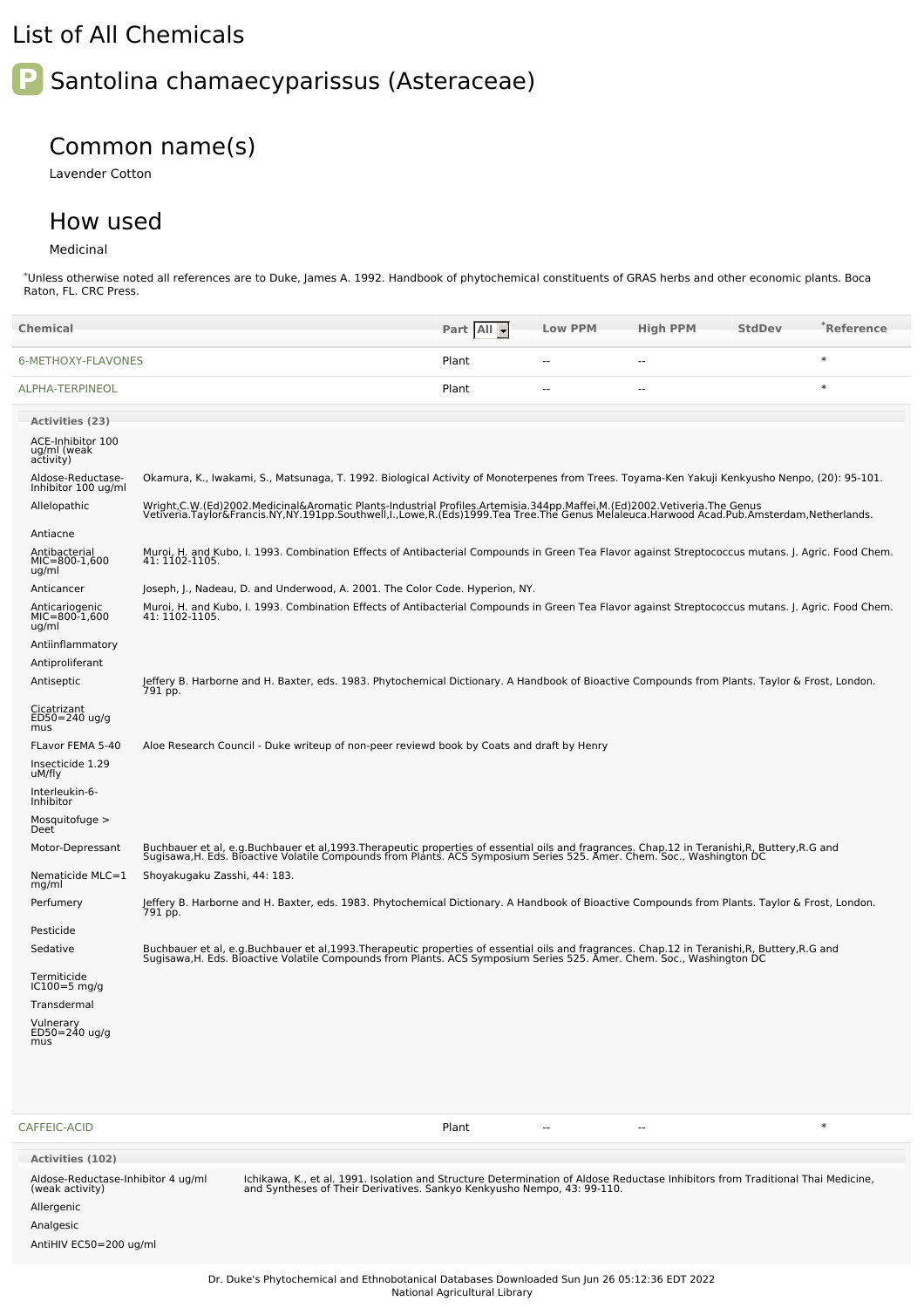## List of All Chemicals

# **P** Santolina chamaecyparissus (Asteraceae)

### Common name(s)

Lavender Cotton

#### How used

#### Medicinal

Allergenic Analgesic

AntiHIV EC50=200 ug/ml

\*Unless otherwise noted all references are to Duke, James A. 1992. Handbook of phytochemical constituents of GRAS herbs and other economic plants. Boca Raton, FL. CRC Press.

| <b>Chemical</b>                                       |                                                                                                                                                                                                                                                                    | Part All | <b>Low PPM</b> | <b>High PPM</b> | <b>StdDev</b> | *Reference |
|-------------------------------------------------------|--------------------------------------------------------------------------------------------------------------------------------------------------------------------------------------------------------------------------------------------------------------------|----------|----------------|-----------------|---------------|------------|
| 6-METHOXY-FLAVONES                                    |                                                                                                                                                                                                                                                                    | Plant    | ٠.             | --              |               | $\ast$     |
| ALPHA-TERPINEOL                                       |                                                                                                                                                                                                                                                                    | Plant    |                |                 |               | $\ast$     |
| <b>Activities (23)</b>                                |                                                                                                                                                                                                                                                                    |          |                |                 |               |            |
| ACE-Inhibitor 100<br>ug/ml (weak<br>activity)         |                                                                                                                                                                                                                                                                    |          |                |                 |               |            |
| Aldose-Reductase-<br>Inhibitor 100 ug/ml              | Okamura, K., Iwakami, S., Matsunaga, T. 1992. Biological Activity of Monoterpenes from Trees. Toyama-Ken Yakuji Kenkyusho Nenpo, (20): 95-101.                                                                                                                     |          |                |                 |               |            |
| Allelopathic                                          | Wright,C.W.(Ed)2002.Medicinal&Aromatic Plants-Industrial Profiles.Artemisia.344pp.Maffei,M.(Ed)2002.Vetiveria.The Genus<br>Vetiveria.Taylor&Francis.NY,NY.191pp.Southwell,I.,Lowe,R.(Eds)1999.Tea Tree.The Genus Melaleuca.Harwoo                                  |          |                |                 |               |            |
| Antiacne                                              |                                                                                                                                                                                                                                                                    |          |                |                 |               |            |
| Antibacterial<br>$MIC=800-1,600$<br>ug/ml             | Muroi, H. and Kubo, I. 1993. Combination Effects of Antibacterial Compounds in Green Tea Flavor against Streptococcus mutans. J. Agric. Food Chem.<br>41: 1102-1105.                                                                                               |          |                |                 |               |            |
| Anticancer                                            | Joseph, J., Nadeau, D. and Underwood, A. 2001. The Color Code. Hyperion, NY.                                                                                                                                                                                       |          |                |                 |               |            |
| Anticariogenic<br>MIC=800-1,600<br>ug/ml              | Muroi, H. and Kubo, I. 1993. Combination Effects of Antibacterial Compounds in Green Tea Flavor against Streptococcus mutans. J. Agric. Food Chem.<br>41: 1102-1105.                                                                                               |          |                |                 |               |            |
| Antiinflammatory                                      |                                                                                                                                                                                                                                                                    |          |                |                 |               |            |
| Antiproliferant                                       |                                                                                                                                                                                                                                                                    |          |                |                 |               |            |
| Antiseptic                                            | Jeffery B. Harborne and H. Baxter, eds. 1983. Phytochemical Dictionary. A Handbook of Bioactive Compounds from Plants. Taylor & Frost, London.<br>791 pp.                                                                                                          |          |                |                 |               |            |
| Cicatrizant<br>ED50=240 ug/g<br>mus                   |                                                                                                                                                                                                                                                                    |          |                |                 |               |            |
| FLavor FEMA 5-40                                      | Aloe Research Council - Duke writeup of non-peer reviewd book by Coats and draft by Henry                                                                                                                                                                          |          |                |                 |               |            |
| Insecticide 1.29<br>uM/fly                            |                                                                                                                                                                                                                                                                    |          |                |                 |               |            |
| Interleukin-6-<br>Inhibitor                           |                                                                                                                                                                                                                                                                    |          |                |                 |               |            |
| Mosquitofuge $>$<br>Deet                              |                                                                                                                                                                                                                                                                    |          |                |                 |               |            |
| Motor-Depressant                                      | Buchbauer et al, e.g.Buchbauer et al,1993.Therapeutic properties of essential oils and fragrances. Chap.12 in Teranishi,R, Buttery,R.G and<br>Sugisawa,H. Eds. Bioactive Volatile Compounds from Plants. ACS Symposium Series 525                                  |          |                |                 |               |            |
| Nematicide MLC=1<br>mg/ml                             | Shoyakugaku Zasshi, 44: 183.                                                                                                                                                                                                                                       |          |                |                 |               |            |
| Perfumery                                             | Jeffery B. Harborne and H. Baxter, eds. 1983. Phytochemical Dictionary. A Handbook of Bioactive Compounds from Plants. Taylor & Frost, London.<br>791 pp.                                                                                                          |          |                |                 |               |            |
| Pesticide                                             |                                                                                                                                                                                                                                                                    |          |                |                 |               |            |
| Sedative                                              | Buchbauer et al, e.g.Buchbauer et al,1993.Therapeutic properties of essential oils and fragrances. Chap.12 in Teranishi,R, Buttery,R.G and<br>Sugisawa,H. Eds. Bioactive Volatile Compounds from Plants. ACS Symposium Series 525. Amer. Chem. Soc., Washington DC |          |                |                 |               |            |
| Termiticide<br>$IC100=5$ mg/g                         |                                                                                                                                                                                                                                                                    |          |                |                 |               |            |
| Transdermal                                           |                                                                                                                                                                                                                                                                    |          |                |                 |               |            |
| Vulnerary<br>ED50=240 ug/g<br>mus                     |                                                                                                                                                                                                                                                                    |          |                |                 |               |            |
| CAFFEIC-ACID                                          |                                                                                                                                                                                                                                                                    | Plant    |                | --              |               | $\ast$     |
| <b>Activities (102)</b>                               |                                                                                                                                                                                                                                                                    |          |                |                 |               |            |
| Aldose-Reductase-Inhibitor 4 ug/ml<br>(weak activity) | Ichikawa, K., et al. 1991. Isolation and Structure Determination of Aldose Reductase Inhibitors from Traditional Thai Medicine,<br>and Syntheses of Their Derivatives. Sankyo Kenkyusho Nempo, 43: 99-110.                                                         |          |                |                 |               |            |

Dr. Duke's Phytochemical and Ethnobotanical Databases Downloaded Sun Jun 26 05:12:36 EDT 2022 National Agricultural Library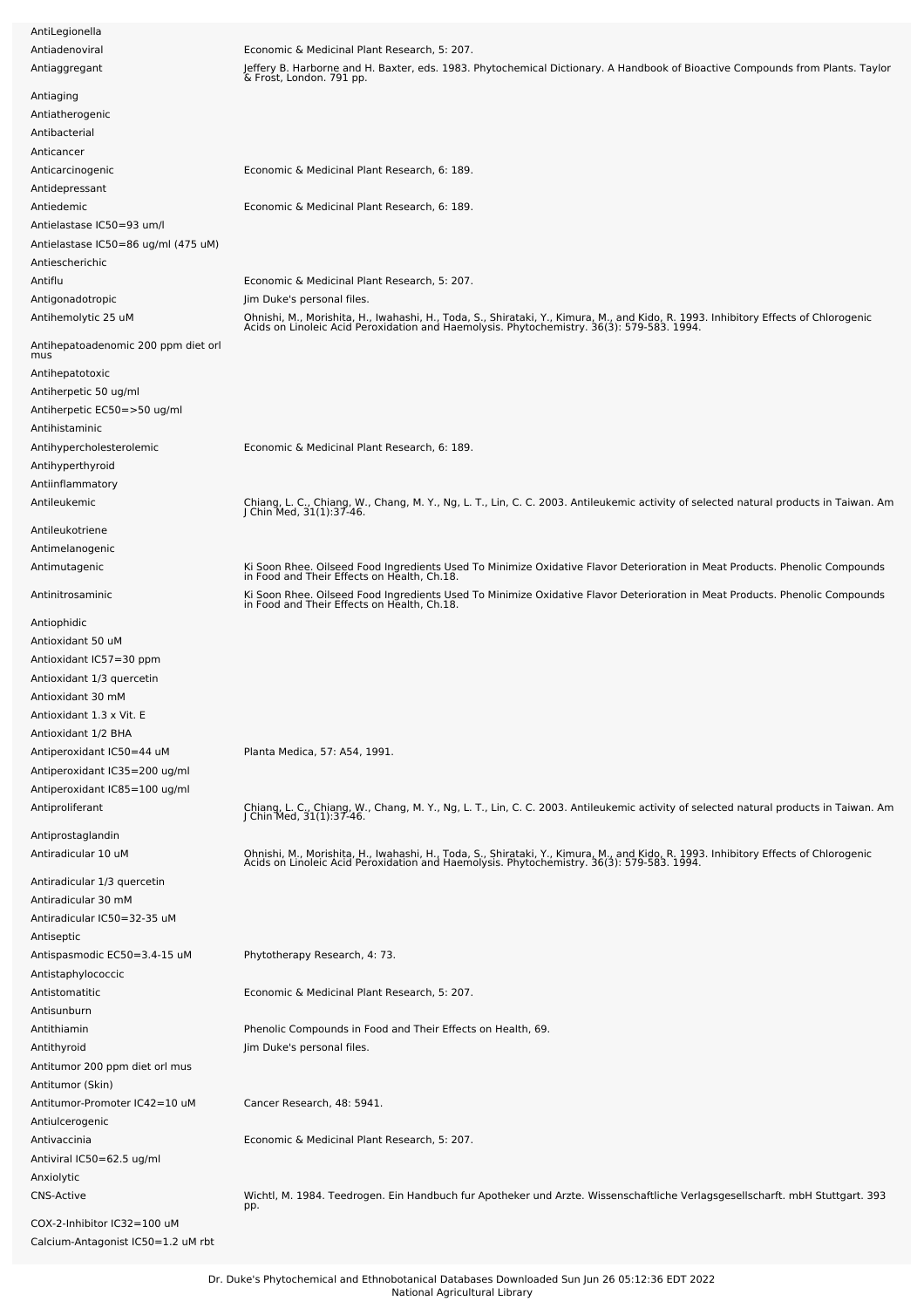| AntiLegionella                             |                                                                                                                                                                                                                                  |
|--------------------------------------------|----------------------------------------------------------------------------------------------------------------------------------------------------------------------------------------------------------------------------------|
| Antiadenoviral                             | Economic & Medicinal Plant Research, 5: 207.                                                                                                                                                                                     |
| Antiaggregant                              | Jeffery B. Harborne and H. Baxter, eds. 1983. Phytochemical Dictionary. A Handbook of Bioactive Compounds from Plants. Taylor<br>& Frost, London. 791 pp.                                                                        |
| Antiaging                                  |                                                                                                                                                                                                                                  |
| Antiatherogenic                            |                                                                                                                                                                                                                                  |
| Antibacterial                              |                                                                                                                                                                                                                                  |
| Anticancer                                 |                                                                                                                                                                                                                                  |
| Anticarcinogenic                           | Economic & Medicinal Plant Research, 6: 189.                                                                                                                                                                                     |
| Antidepressant                             |                                                                                                                                                                                                                                  |
| Antiedemic                                 | Economic & Medicinal Plant Research, 6: 189.                                                                                                                                                                                     |
| Antielastase IC50=93 um/l                  |                                                                                                                                                                                                                                  |
|                                            |                                                                                                                                                                                                                                  |
| Antielastase IC50=86 ug/ml (475 uM)        |                                                                                                                                                                                                                                  |
| Antiescherichic                            |                                                                                                                                                                                                                                  |
| Antiflu                                    | Economic & Medicinal Plant Research, 5: 207.                                                                                                                                                                                     |
| Antigonadotropic                           | Jim Duke's personal files.                                                                                                                                                                                                       |
| Antihemolytic 25 uM                        | Ohnishi, M., Morishita, H., Iwahashi, H., Toda, S., Shirataki, Y., Kimura, M., and Kido, R. 1993. Inhibitory Effects of Chlorogenic<br>Acids on Linoleic Acid Peroxidation and Haemolysis. Phytochemistry. 36(3): 579-583. 1994. |
| Antihepatoadenomic 200 ppm diet orl<br>mus |                                                                                                                                                                                                                                  |
| Antihepatotoxic                            |                                                                                                                                                                                                                                  |
|                                            |                                                                                                                                                                                                                                  |
| Antiherpetic 50 ug/ml                      |                                                                                                                                                                                                                                  |
| Antiherpetic EC50=>50 ug/ml                |                                                                                                                                                                                                                                  |
| Antihistaminic                             |                                                                                                                                                                                                                                  |
| Antihypercholesterolemic                   | Economic & Medicinal Plant Research, 6: 189.                                                                                                                                                                                     |
| Antihyperthyroid                           |                                                                                                                                                                                                                                  |
| Antiinflammatory                           |                                                                                                                                                                                                                                  |
| Antileukemic                               | Chiang, L. C., Chiang, W., Chang, M. Y., Ng, L. T., Lin, C. C. 2003. Antileukemic activity of selected natural products in Taiwan. Am<br>J Chin Med, 31(1):37-46.                                                                |
|                                            |                                                                                                                                                                                                                                  |
| Antileukotriene                            |                                                                                                                                                                                                                                  |
| Antimelanogenic                            |                                                                                                                                                                                                                                  |
| Antimutagenic                              | Ki Soon Rhee. Oilseed Food Ingredients Used To Minimize Oxidative Flavor Deterioration in Meat Products. Phenolic Compounds<br>in Food and Their Effects on Health, Ch.18.                                                       |
| Antinitrosaminic                           | Ki Soon Rhee. Oilseed Food Ingredients Used To Minimize Oxidative Flavor Deterioration in Meat Products. Phenolic Compounds<br>in Food and Their Effects on Health, Ch.18.                                                       |
| Antiophidic                                |                                                                                                                                                                                                                                  |
| Antioxidant 50 uM                          |                                                                                                                                                                                                                                  |
|                                            |                                                                                                                                                                                                                                  |
| Antioxidant IC57=30 ppm                    |                                                                                                                                                                                                                                  |
| Antioxidant 1/3 quercetin                  |                                                                                                                                                                                                                                  |
| Antioxidant 30 mM                          |                                                                                                                                                                                                                                  |
| Antioxidant 1.3 x Vit. E                   |                                                                                                                                                                                                                                  |
| Antioxidant 1/2 BHA                        |                                                                                                                                                                                                                                  |
| Antiperoxidant IC50=44 uM                  | Planta Medica, 57: A54, 1991.                                                                                                                                                                                                    |
| Antiperoxidant IC35=200 ug/ml              |                                                                                                                                                                                                                                  |
| Antiperoxidant IC85=100 ug/ml              |                                                                                                                                                                                                                                  |
| Antiproliferant                            | Chiang, L. C., Chiang, W., Chang, M. Y., Ng, L. T., Lin, C. C. 2003. Antileukemic activity of selected natural products in Taiwan. Am<br>J Chin Med, 31(1):37-46.                                                                |
|                                            |                                                                                                                                                                                                                                  |
| Antiprostaglandin                          |                                                                                                                                                                                                                                  |
| Antiradicular 10 uM                        | Ohnishi, M., Morishita, H., Iwahashi, H., Toda, S., Shirataki, Y., Kimura, M., and Kido, R. 1993. Inhibitory Effects of Chlorogenic<br>Acids on Linoleic Acid Peroxidation and Haemolysis. Phytochemistry. 36(3): 579-583. 1994. |
| Antiradicular 1/3 quercetin                |                                                                                                                                                                                                                                  |
|                                            |                                                                                                                                                                                                                                  |
| Antiradicular 30 mM                        |                                                                                                                                                                                                                                  |
| Antiradicular IC50=32-35 uM                |                                                                                                                                                                                                                                  |
| Antiseptic                                 |                                                                                                                                                                                                                                  |
| Antispasmodic EC50=3.4-15 uM               | Phytotherapy Research, 4: 73.                                                                                                                                                                                                    |
| Antistaphylococcic                         |                                                                                                                                                                                                                                  |
| Antistomatitic                             | Economic & Medicinal Plant Research, 5: 207.                                                                                                                                                                                     |
| Antisunburn                                |                                                                                                                                                                                                                                  |
| Antithiamin                                | Phenolic Compounds in Food and Their Effects on Health, 69.                                                                                                                                                                      |
| Antithyroid                                | Jim Duke's personal files.                                                                                                                                                                                                       |
| Antitumor 200 ppm diet orl mus             |                                                                                                                                                                                                                                  |
| Antitumor (Skin)                           |                                                                                                                                                                                                                                  |
|                                            |                                                                                                                                                                                                                                  |
| Antitumor-Promoter IC42=10 uM              | Cancer Research, 48: 5941.                                                                                                                                                                                                       |
| Antiulcerogenic                            |                                                                                                                                                                                                                                  |
| Antivaccinia                               | Economic & Medicinal Plant Research, 5: 207.                                                                                                                                                                                     |
| Antiviral IC50=62.5 ug/ml                  |                                                                                                                                                                                                                                  |
| Anxiolytic                                 |                                                                                                                                                                                                                                  |
| <b>CNS-Active</b>                          | Wichtl, M. 1984. Teedrogen. Ein Handbuch fur Apotheker und Arzte. Wissenschaftliche Verlagsgesellscharft. mbH Stuttgart. 393<br>pp.                                                                                              |
| COX-2-Inhibitor IC32=100 uM                |                                                                                                                                                                                                                                  |
|                                            |                                                                                                                                                                                                                                  |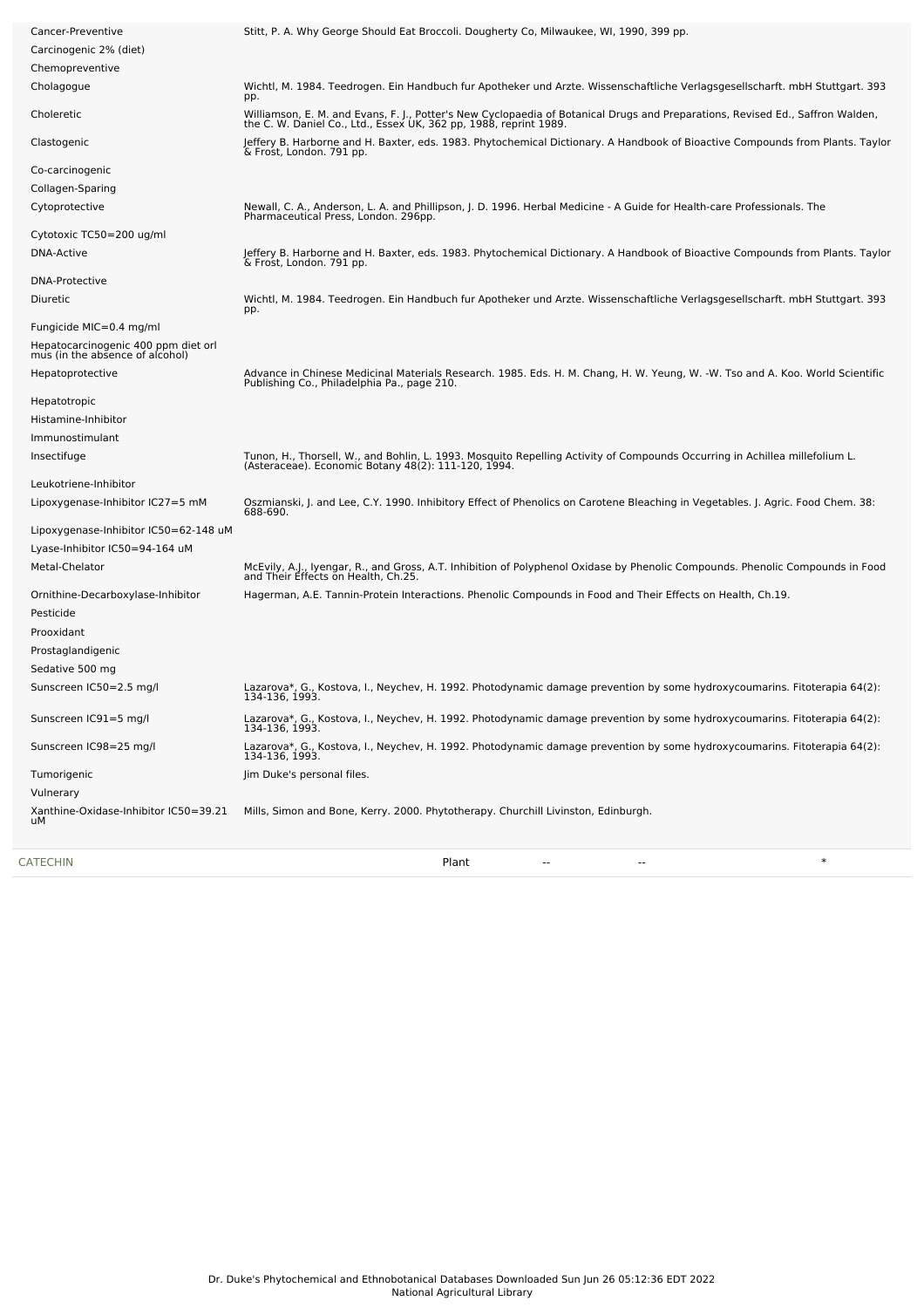| Cancer-Preventive                                                      | Stitt, P. A. Why George Should Eat Broccoli. Dougherty Co, Milwaukee, WI, 1990, 399 pp.                                                                                                             |
|------------------------------------------------------------------------|-----------------------------------------------------------------------------------------------------------------------------------------------------------------------------------------------------|
| Carcinogenic 2% (diet)                                                 |                                                                                                                                                                                                     |
| Chemopreventive                                                        |                                                                                                                                                                                                     |
| Cholagogue                                                             | Wichtl, M. 1984. Teedrogen. Ein Handbuch fur Apotheker und Arzte. Wissenschaftliche Verlagsgesellscharft. mbH Stuttgart. 393<br>pp.                                                                 |
| Choleretic                                                             | Williamson, E. M. and Evans, F. J., Potter's New Cyclopaedia of Botanical Drugs and Preparations, Revised Ed., Saffron Walden,<br>the C. W. Daniel Co., Ltd., Essex UK, 362 pp, 1988, reprint 1989. |
| Clastogenic                                                            | Jeffery B. Harborne and H. Baxter, eds. 1983. Phytochemical Dictionary. A Handbook of Bioactive Compounds from Plants. Taylor<br>& Frost, London. 791 pp.                                           |
| Co-carcinogenic                                                        |                                                                                                                                                                                                     |
| Collagen-Sparing                                                       |                                                                                                                                                                                                     |
| Cytoprotective                                                         | Newall, C. A., Anderson, L. A. and Phillipson, J. D. 1996. Herbal Medicine - A Guide for Health-care Professionals. The<br>Pharmaceutical Press, London. 296pp.                                     |
| Cytotoxic TC50=200 ug/ml                                               |                                                                                                                                                                                                     |
| <b>DNA-Active</b>                                                      | Jeffery B. Harborne and H. Baxter, eds. 1983. Phytochemical Dictionary. A Handbook of Bioactive Compounds from Plants. Taylor<br>& Frost, London. 791 pp.                                           |
| <b>DNA-Protective</b>                                                  |                                                                                                                                                                                                     |
| Diuretic                                                               | Wichtl, M. 1984. Teedrogen. Ein Handbuch fur Apotheker und Arzte. Wissenschaftliche Verlagsgesellscharft. mbH Stuttgart. 393<br>pp.                                                                 |
| Fungicide MIC=0.4 mg/ml                                                |                                                                                                                                                                                                     |
| Hepatocarcinogenic 400 ppm diet orl<br>mus (in the absence of alcohol) |                                                                                                                                                                                                     |
| Hepatoprotective                                                       | Advance in Chinese Medicinal Materials Research. 1985. Eds. H. M. Chang, H. W. Yeung, W. -W. Tso and A. Koo. World Scientific<br>Publishing Co., Philadelphia Pa., page 210.                        |
| Hepatotropic                                                           |                                                                                                                                                                                                     |
| Histamine-Inhibitor                                                    |                                                                                                                                                                                                     |
| Immunostimulant                                                        |                                                                                                                                                                                                     |
| Insectifuge                                                            |                                                                                                                                                                                                     |
|                                                                        | Tunon, H., Thorsell, W., and Bohlin, L. 1993. Mosquito Repelling Activity of Compounds Occurring in Achillea millefolium L.<br>(Asteraceae). Economic Botany 48(2): 111-120, 1994.                  |
| Leukotriene-Inhibitor                                                  |                                                                                                                                                                                                     |
| Lipoxygenase-Inhibitor IC27=5 mM                                       | Oszmianski, J. and Lee, C.Y. 1990. Inhibitory Effect of Phenolics on Carotene Bleaching in Vegetables. J. Agric. Food Chem. 38:<br>688-690.                                                         |
| Lipoxygenase-Inhibitor IC50=62-148 uM                                  |                                                                                                                                                                                                     |
| Lyase-Inhibitor IC50=94-164 uM                                         |                                                                                                                                                                                                     |
| Metal-Chelator                                                         | McEvily, A.J., Iyengar, R., and Gross, A.T. Inhibition of Polyphenol Oxidase by Phenolic Compounds. Phenolic Compounds in Food<br>and Their Effects on Health, Ch.25.                               |
| Ornithine-Decarboxylase-Inhibitor                                      | Hagerman, A.E. Tannin-Protein Interactions. Phenolic Compounds in Food and Their Effects on Health, Ch.19.                                                                                          |
| Pesticide                                                              |                                                                                                                                                                                                     |
| Prooxidant                                                             |                                                                                                                                                                                                     |
| Prostaglandigenic                                                      |                                                                                                                                                                                                     |
| Sedative 500 mg                                                        |                                                                                                                                                                                                     |
|                                                                        |                                                                                                                                                                                                     |
| Sunscreen IC50=2.5 mg/l                                                | Lazarova*, G., Kostova, I., Neychev, H. 1992. Photodynamic damage prevention by some hydroxycoumarins. Fitoterapia 64(2):<br>134-136, 1993.                                                         |
| Sunscreen IC91=5 mg/l                                                  | Lazarova*, G., Kostova, I., Neychev, H. 1992. Photodynamic damage prevention by some hydroxycoumarins. Fitoterapia 64(2):<br>134-136, 1993.                                                         |
| Sunscreen IC98=25 mg/l                                                 | Lazarova*, G., Kostova, I., Neychev, H. 1992. Photodynamic damage prevention by some hydroxycoumarins. Fitoterapia 64(2):<br>134-136. 1993.                                                         |
| Tumorigenic                                                            | Jim Duke's personal files.                                                                                                                                                                          |
| Vulnerary                                                              |                                                                                                                                                                                                     |
| Xanthine-Oxidase-Inhibitor IC50=39.21<br>uМ                            | Mills, Simon and Bone, Kerry. 2000. Phytotherapy. Churchill Livinston, Edinburgh.                                                                                                                   |
|                                                                        |                                                                                                                                                                                                     |

[CATECHIN](file:///phytochem/chemicals/show/5455) Plant -- -- \*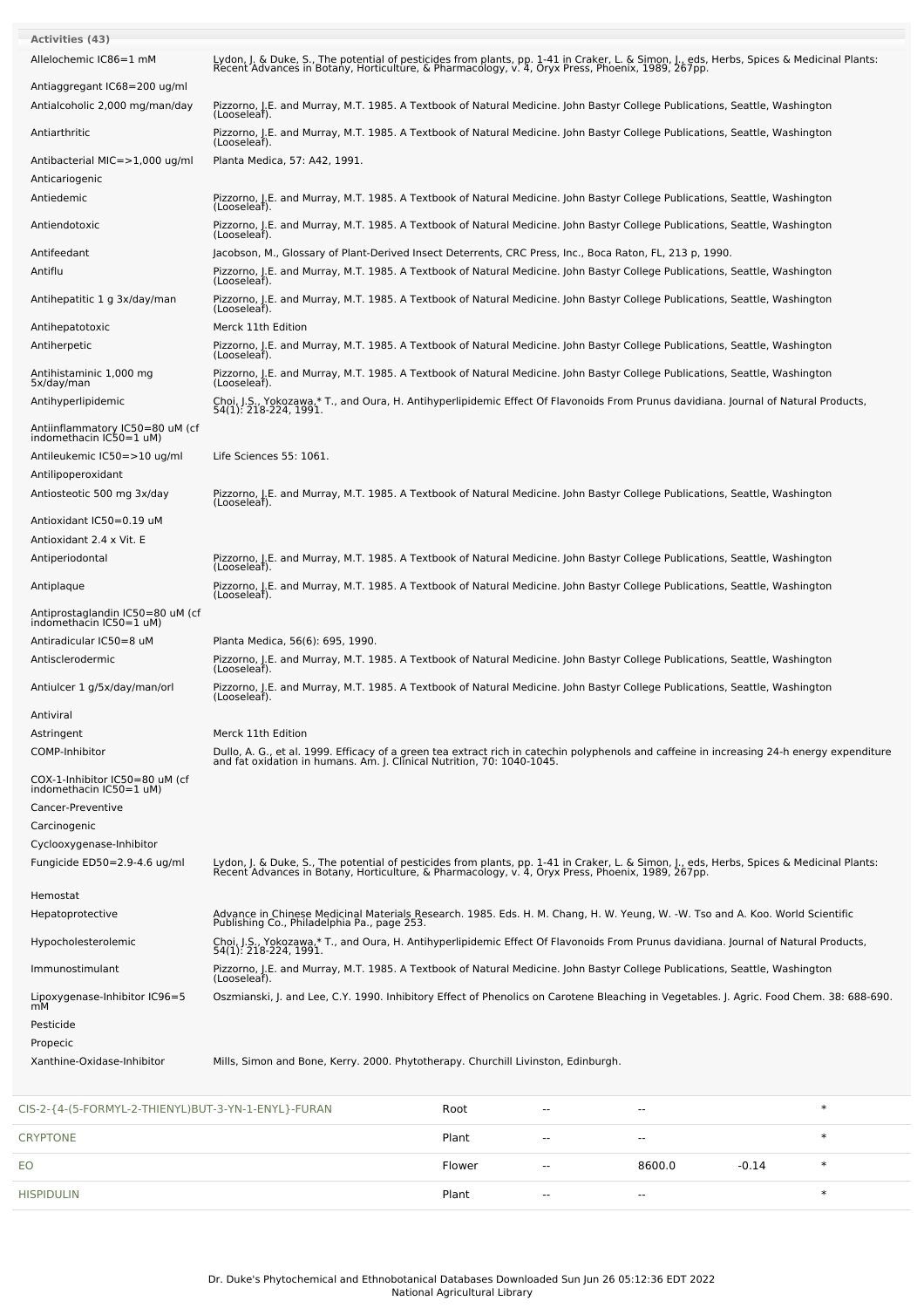| Allelochemic IC86=1 mM<br>Lydon, J. & Duke, S., The potential of pesticides from plants, pp. 1-41 in Craker, L. & Simon, J., eds, Herbs, Spices & Medicinal Plants:<br>Recent Advances in Botany, Horticulture, & Pharmacology, v. 4, Oryx Press, Phoenix,<br>Antiaggregant IC68=200 ug/ml<br>Antialcoholic 2,000 mg/man/day<br>Pizzorno, J.E. and Murray, M.T. 1985. A Textbook of Natural Medicine. John Bastyr College Publications, Seattle, Washington<br>(Looseleaf).<br>Antiarthritic<br>Pizzorno, J.E. and Murray, M.T. 1985. A Textbook of Natural Medicine. John Bastyr College Publications, Seattle, Washington<br>(Looseleaf).<br>Antibacterial MIC=>1,000 ug/ml<br>Planta Medica, 57: A42, 1991.<br>Anticariogenic<br>Pizzorno, J.E. and Murray, M.T. 1985. A Textbook of Natural Medicine. John Bastyr College Publications, Seattle, Washington<br>Antiedemic<br>(Looseleaf).<br>Antiendotoxic<br>Pizzorno, J.E. and Murray, M.T. 1985. A Textbook of Natural Medicine. John Bastyr College Publications, Seattle, Washington<br>(Looseleaf).<br>Antifeedant<br>Jacobson, M., Glossary of Plant-Derived Insect Deterrents, CRC Press, Inc., Boca Raton, FL, 213 p, 1990.<br>Antiflu<br>Pizzorno, J.E. and Murray, M.T. 1985. A Textbook of Natural Medicine. John Bastyr College Publications, Seattle, Washington<br>(Looseleaf).<br>Antihepatitic 1 g 3x/day/man<br>Pizzorno, J.E. and Murray, M.T. 1985. A Textbook of Natural Medicine. John Bastyr College Publications, Seattle, Washington<br>(Looseleaf).<br>Antihepatotoxic<br>Merck 11th Edition<br>Antiherpetic<br>Pizzorno, J.E. and Murray, M.T. 1985. A Textbook of Natural Medicine. John Bastyr College Publications, Seattle, Washington<br>(Looseleaf).<br>Antihistaminic 1,000 mg<br>Pizzorno, J.E. and Murray, M.T. 1985. A Textbook of Natural Medicine. John Bastyr College Publications, Seattle, Washington<br>5x/day/man<br>(Looseleaf).<br>Choi, J.S., Yokozawa,* T., and Oura, H. Antihyperlipidemic Effect Of Flavonoids From Prunus davidiana. Journal of Natural Products,<br>Antihyperlipidemic<br>54(1): 218-224, 1991.<br>Antiinflammatory IC50=80 uM (cf<br>indomethacin IC50=1 uM)<br>Antileukemic IC50=>10 ug/ml<br>Life Sciences 55: 1061.<br>Antilipoperoxidant<br>Pizzorno, J.E. and Murray, M.T. 1985. A Textbook of Natural Medicine. John Bastyr College Publications, Seattle, Washington<br>Antiosteotic 500 mg 3x/day<br>(Looseleaf).<br>Antioxidant IC50=0.19 uM<br>Antioxidant 2.4 x Vit. E<br>Antiperiodontal<br>Pizzorno, J.E. and Murray, M.T. 1985. A Textbook of Natural Medicine. John Bastyr College Publications, Seattle, Washington<br>(Looseleaf).<br>Pizzorno, J.E. and Murray, M.T. 1985. A Textbook of Natural Medicine. John Bastyr College Publications, Seattle, Washington<br>Antiplaque<br>(Looseleaf).<br>Antiprostaglandin IC50=80 uM (cf<br>indomethacin IC50=1 uM)<br>Antiradicular IC50=8 uM<br>Planta Medica, 56(6): 695, 1990.<br>Pizzorno, J.E. and Murray, M.T. 1985. A Textbook of Natural Medicine. John Bastyr College Publications, Seattle, Washington<br>Antisclerodermic<br>(Looseleaf).<br>Pizzorno, J.E. and Murray, M.T. 1985. A Textbook of Natural Medicine. John Bastyr College Publications, Seattle, Washington<br>Antiulcer 1 g/5x/day/man/orl<br>(Looseleaf).<br>Antiviral<br>Merck 11th Edition<br>Astringent<br>Dullo, A. G., et al. 1999. Efficacy of a green tea extract rich in catechin polyphenols and caffeine in increasing 24-h energy expenditure and fat oxidation in humans. Am. J. Clinical Nutrition, 70: 1040-1045.<br><b>COMP-Inhibitor</b><br>COX-1-Inhibitor IC50=80 uM (cf<br>indomethacin IC50=1 uM)<br>Cancer-Preventive<br>Carcinogenic<br>Cyclooxygenase-Inhibitor<br>Fungicide ED50=2.9-4.6 ug/ml<br>Lydon, J. & Duke, S., The potential of pesticides from plants, pp. 1-41 in Craker, L. & Simon, J., eds, Herbs, Spices & Medicinal Plants:<br>Recent Advances in Botany, Horticulture, & Pharmacology, v. 4, Oryx Press, Phoenix,<br>Hemostat<br>Advance in Chinese Medicinal Materials Research. 1985. Eds. H. M. Chang, H. W. Yeung, W. -W. Tso and A. Koo. World Scientific<br>Publishing Co., Philadelphia Pa., page 253.<br>Hepatoprotective<br>Choi, J.S., Yokozawa,* T., and Oura, H. Antihyperlipidemic Effect Of Flavonoids From Prunus davidiana. Journal of Natural Products,<br>54(1): 218-224, 1991.<br>Hypocholesterolemic<br>Immunostimulant<br>Pizzorno, J.E. and Murray, M.T. 1985. A Textbook of Natural Medicine. John Bastyr College Publications, Seattle, Washington<br>(Looseleaf).<br>Oszmianski, J. and Lee, C.Y. 1990. Inhibitory Effect of Phenolics on Carotene Bleaching in Vegetables. J. Agric. Food Chem. 38: 688-690.<br>Lipoxygenase-Inhibitor IC96=5<br>mМ<br>Pesticide<br>Propecic<br>Xanthine-Oxidase-Inhibitor<br>Mills, Simon and Bone, Kerry. 2000. Phytotherapy. Churchill Livinston, Edinburgh.<br>$\ast$<br>S-2-{4-(5-FORMYL-2-THIENYL)BUT-3-YN-1-ENYL}-FURAN<br>Root | <b>Activities (43)</b> |  |
|-----------------------------------------------------------------------------------------------------------------------------------------------------------------------------------------------------------------------------------------------------------------------------------------------------------------------------------------------------------------------------------------------------------------------------------------------------------------------------------------------------------------------------------------------------------------------------------------------------------------------------------------------------------------------------------------------------------------------------------------------------------------------------------------------------------------------------------------------------------------------------------------------------------------------------------------------------------------------------------------------------------------------------------------------------------------------------------------------------------------------------------------------------------------------------------------------------------------------------------------------------------------------------------------------------------------------------------------------------------------------------------------------------------------------------------------------------------------------------------------------------------------------------------------------------------------------------------------------------------------------------------------------------------------------------------------------------------------------------------------------------------------------------------------------------------------------------------------------------------------------------------------------------------------------------------------------------------------------------------------------------------------------------------------------------------------------------------------------------------------------------------------------------------------------------------------------------------------------------------------------------------------------------------------------------------------------------------------------------------------------------------------------------------------------------------------------------------------------------------------------------------------------------------------------------------------------------------------------------------------------------------------------------------------------------------------------------------------------------------------------------------------------------------------------------------------------------------------------------------------------------------------------------------------------------------------------------------------------------------------------------------------------------------------------------------------------------------------------------------------------------------------------------------------------------------------------------------------------------------------------------------------------------------------------------------------------------------------------------------------------------------------------------------------------------------------------------------------------------------------------------------------------------------------------------------------------------------------------------------------------------------------------------------------------------------------------------------------------------------------------------------------------------------------------------------------------------------------------------------------------------------------------------------------------------------------------------------------------------------------------------------------------------------------------------------------------------------------------------------------------------------------------------------------------------------------------------------------------------------------------------------------------------------------------------------------------------------------------------------------------------------------------------------------------------------------------------------------------------------------------------------------------------------------------------------------------------------------------------------------------------------------------------------------------------------------------------------------------------------------------------------------------------------------------------------------------------------------------------------------------------------------------------------------------------------------------------------------------------------------------------------|------------------------|--|
|                                                                                                                                                                                                                                                                                                                                                                                                                                                                                                                                                                                                                                                                                                                                                                                                                                                                                                                                                                                                                                                                                                                                                                                                                                                                                                                                                                                                                                                                                                                                                                                                                                                                                                                                                                                                                                                                                                                                                                                                                                                                                                                                                                                                                                                                                                                                                                                                                                                                                                                                                                                                                                                                                                                                                                                                                                                                                                                                                                                                                                                                                                                                                                                                                                                                                                                                                                                                                                                                                                                                                                                                                                                                                                                                                                                                                                                                                                                                                                                                                                                                                                                                                                                                                                                                                                                                                                                                                                                                                                                                                                                                                                                                                                                                                                                                                                                                                                                                                                                                           |                        |  |
|                                                                                                                                                                                                                                                                                                                                                                                                                                                                                                                                                                                                                                                                                                                                                                                                                                                                                                                                                                                                                                                                                                                                                                                                                                                                                                                                                                                                                                                                                                                                                                                                                                                                                                                                                                                                                                                                                                                                                                                                                                                                                                                                                                                                                                                                                                                                                                                                                                                                                                                                                                                                                                                                                                                                                                                                                                                                                                                                                                                                                                                                                                                                                                                                                                                                                                                                                                                                                                                                                                                                                                                                                                                                                                                                                                                                                                                                                                                                                                                                                                                                                                                                                                                                                                                                                                                                                                                                                                                                                                                                                                                                                                                                                                                                                                                                                                                                                                                                                                                                           |                        |  |
|                                                                                                                                                                                                                                                                                                                                                                                                                                                                                                                                                                                                                                                                                                                                                                                                                                                                                                                                                                                                                                                                                                                                                                                                                                                                                                                                                                                                                                                                                                                                                                                                                                                                                                                                                                                                                                                                                                                                                                                                                                                                                                                                                                                                                                                                                                                                                                                                                                                                                                                                                                                                                                                                                                                                                                                                                                                                                                                                                                                                                                                                                                                                                                                                                                                                                                                                                                                                                                                                                                                                                                                                                                                                                                                                                                                                                                                                                                                                                                                                                                                                                                                                                                                                                                                                                                                                                                                                                                                                                                                                                                                                                                                                                                                                                                                                                                                                                                                                                                                                           |                        |  |
|                                                                                                                                                                                                                                                                                                                                                                                                                                                                                                                                                                                                                                                                                                                                                                                                                                                                                                                                                                                                                                                                                                                                                                                                                                                                                                                                                                                                                                                                                                                                                                                                                                                                                                                                                                                                                                                                                                                                                                                                                                                                                                                                                                                                                                                                                                                                                                                                                                                                                                                                                                                                                                                                                                                                                                                                                                                                                                                                                                                                                                                                                                                                                                                                                                                                                                                                                                                                                                                                                                                                                                                                                                                                                                                                                                                                                                                                                                                                                                                                                                                                                                                                                                                                                                                                                                                                                                                                                                                                                                                                                                                                                                                                                                                                                                                                                                                                                                                                                                                                           |                        |  |
|                                                                                                                                                                                                                                                                                                                                                                                                                                                                                                                                                                                                                                                                                                                                                                                                                                                                                                                                                                                                                                                                                                                                                                                                                                                                                                                                                                                                                                                                                                                                                                                                                                                                                                                                                                                                                                                                                                                                                                                                                                                                                                                                                                                                                                                                                                                                                                                                                                                                                                                                                                                                                                                                                                                                                                                                                                                                                                                                                                                                                                                                                                                                                                                                                                                                                                                                                                                                                                                                                                                                                                                                                                                                                                                                                                                                                                                                                                                                                                                                                                                                                                                                                                                                                                                                                                                                                                                                                                                                                                                                                                                                                                                                                                                                                                                                                                                                                                                                                                                                           |                        |  |
|                                                                                                                                                                                                                                                                                                                                                                                                                                                                                                                                                                                                                                                                                                                                                                                                                                                                                                                                                                                                                                                                                                                                                                                                                                                                                                                                                                                                                                                                                                                                                                                                                                                                                                                                                                                                                                                                                                                                                                                                                                                                                                                                                                                                                                                                                                                                                                                                                                                                                                                                                                                                                                                                                                                                                                                                                                                                                                                                                                                                                                                                                                                                                                                                                                                                                                                                                                                                                                                                                                                                                                                                                                                                                                                                                                                                                                                                                                                                                                                                                                                                                                                                                                                                                                                                                                                                                                                                                                                                                                                                                                                                                                                                                                                                                                                                                                                                                                                                                                                                           |                        |  |
|                                                                                                                                                                                                                                                                                                                                                                                                                                                                                                                                                                                                                                                                                                                                                                                                                                                                                                                                                                                                                                                                                                                                                                                                                                                                                                                                                                                                                                                                                                                                                                                                                                                                                                                                                                                                                                                                                                                                                                                                                                                                                                                                                                                                                                                                                                                                                                                                                                                                                                                                                                                                                                                                                                                                                                                                                                                                                                                                                                                                                                                                                                                                                                                                                                                                                                                                                                                                                                                                                                                                                                                                                                                                                                                                                                                                                                                                                                                                                                                                                                                                                                                                                                                                                                                                                                                                                                                                                                                                                                                                                                                                                                                                                                                                                                                                                                                                                                                                                                                                           |                        |  |
|                                                                                                                                                                                                                                                                                                                                                                                                                                                                                                                                                                                                                                                                                                                                                                                                                                                                                                                                                                                                                                                                                                                                                                                                                                                                                                                                                                                                                                                                                                                                                                                                                                                                                                                                                                                                                                                                                                                                                                                                                                                                                                                                                                                                                                                                                                                                                                                                                                                                                                                                                                                                                                                                                                                                                                                                                                                                                                                                                                                                                                                                                                                                                                                                                                                                                                                                                                                                                                                                                                                                                                                                                                                                                                                                                                                                                                                                                                                                                                                                                                                                                                                                                                                                                                                                                                                                                                                                                                                                                                                                                                                                                                                                                                                                                                                                                                                                                                                                                                                                           |                        |  |
|                                                                                                                                                                                                                                                                                                                                                                                                                                                                                                                                                                                                                                                                                                                                                                                                                                                                                                                                                                                                                                                                                                                                                                                                                                                                                                                                                                                                                                                                                                                                                                                                                                                                                                                                                                                                                                                                                                                                                                                                                                                                                                                                                                                                                                                                                                                                                                                                                                                                                                                                                                                                                                                                                                                                                                                                                                                                                                                                                                                                                                                                                                                                                                                                                                                                                                                                                                                                                                                                                                                                                                                                                                                                                                                                                                                                                                                                                                                                                                                                                                                                                                                                                                                                                                                                                                                                                                                                                                                                                                                                                                                                                                                                                                                                                                                                                                                                                                                                                                                                           |                        |  |
|                                                                                                                                                                                                                                                                                                                                                                                                                                                                                                                                                                                                                                                                                                                                                                                                                                                                                                                                                                                                                                                                                                                                                                                                                                                                                                                                                                                                                                                                                                                                                                                                                                                                                                                                                                                                                                                                                                                                                                                                                                                                                                                                                                                                                                                                                                                                                                                                                                                                                                                                                                                                                                                                                                                                                                                                                                                                                                                                                                                                                                                                                                                                                                                                                                                                                                                                                                                                                                                                                                                                                                                                                                                                                                                                                                                                                                                                                                                                                                                                                                                                                                                                                                                                                                                                                                                                                                                                                                                                                                                                                                                                                                                                                                                                                                                                                                                                                                                                                                                                           |                        |  |
|                                                                                                                                                                                                                                                                                                                                                                                                                                                                                                                                                                                                                                                                                                                                                                                                                                                                                                                                                                                                                                                                                                                                                                                                                                                                                                                                                                                                                                                                                                                                                                                                                                                                                                                                                                                                                                                                                                                                                                                                                                                                                                                                                                                                                                                                                                                                                                                                                                                                                                                                                                                                                                                                                                                                                                                                                                                                                                                                                                                                                                                                                                                                                                                                                                                                                                                                                                                                                                                                                                                                                                                                                                                                                                                                                                                                                                                                                                                                                                                                                                                                                                                                                                                                                                                                                                                                                                                                                                                                                                                                                                                                                                                                                                                                                                                                                                                                                                                                                                                                           |                        |  |
|                                                                                                                                                                                                                                                                                                                                                                                                                                                                                                                                                                                                                                                                                                                                                                                                                                                                                                                                                                                                                                                                                                                                                                                                                                                                                                                                                                                                                                                                                                                                                                                                                                                                                                                                                                                                                                                                                                                                                                                                                                                                                                                                                                                                                                                                                                                                                                                                                                                                                                                                                                                                                                                                                                                                                                                                                                                                                                                                                                                                                                                                                                                                                                                                                                                                                                                                                                                                                                                                                                                                                                                                                                                                                                                                                                                                                                                                                                                                                                                                                                                                                                                                                                                                                                                                                                                                                                                                                                                                                                                                                                                                                                                                                                                                                                                                                                                                                                                                                                                                           |                        |  |
|                                                                                                                                                                                                                                                                                                                                                                                                                                                                                                                                                                                                                                                                                                                                                                                                                                                                                                                                                                                                                                                                                                                                                                                                                                                                                                                                                                                                                                                                                                                                                                                                                                                                                                                                                                                                                                                                                                                                                                                                                                                                                                                                                                                                                                                                                                                                                                                                                                                                                                                                                                                                                                                                                                                                                                                                                                                                                                                                                                                                                                                                                                                                                                                                                                                                                                                                                                                                                                                                                                                                                                                                                                                                                                                                                                                                                                                                                                                                                                                                                                                                                                                                                                                                                                                                                                                                                                                                                                                                                                                                                                                                                                                                                                                                                                                                                                                                                                                                                                                                           |                        |  |
|                                                                                                                                                                                                                                                                                                                                                                                                                                                                                                                                                                                                                                                                                                                                                                                                                                                                                                                                                                                                                                                                                                                                                                                                                                                                                                                                                                                                                                                                                                                                                                                                                                                                                                                                                                                                                                                                                                                                                                                                                                                                                                                                                                                                                                                                                                                                                                                                                                                                                                                                                                                                                                                                                                                                                                                                                                                                                                                                                                                                                                                                                                                                                                                                                                                                                                                                                                                                                                                                                                                                                                                                                                                                                                                                                                                                                                                                                                                                                                                                                                                                                                                                                                                                                                                                                                                                                                                                                                                                                                                                                                                                                                                                                                                                                                                                                                                                                                                                                                                                           |                        |  |
|                                                                                                                                                                                                                                                                                                                                                                                                                                                                                                                                                                                                                                                                                                                                                                                                                                                                                                                                                                                                                                                                                                                                                                                                                                                                                                                                                                                                                                                                                                                                                                                                                                                                                                                                                                                                                                                                                                                                                                                                                                                                                                                                                                                                                                                                                                                                                                                                                                                                                                                                                                                                                                                                                                                                                                                                                                                                                                                                                                                                                                                                                                                                                                                                                                                                                                                                                                                                                                                                                                                                                                                                                                                                                                                                                                                                                                                                                                                                                                                                                                                                                                                                                                                                                                                                                                                                                                                                                                                                                                                                                                                                                                                                                                                                                                                                                                                                                                                                                                                                           |                        |  |
|                                                                                                                                                                                                                                                                                                                                                                                                                                                                                                                                                                                                                                                                                                                                                                                                                                                                                                                                                                                                                                                                                                                                                                                                                                                                                                                                                                                                                                                                                                                                                                                                                                                                                                                                                                                                                                                                                                                                                                                                                                                                                                                                                                                                                                                                                                                                                                                                                                                                                                                                                                                                                                                                                                                                                                                                                                                                                                                                                                                                                                                                                                                                                                                                                                                                                                                                                                                                                                                                                                                                                                                                                                                                                                                                                                                                                                                                                                                                                                                                                                                                                                                                                                                                                                                                                                                                                                                                                                                                                                                                                                                                                                                                                                                                                                                                                                                                                                                                                                                                           |                        |  |
|                                                                                                                                                                                                                                                                                                                                                                                                                                                                                                                                                                                                                                                                                                                                                                                                                                                                                                                                                                                                                                                                                                                                                                                                                                                                                                                                                                                                                                                                                                                                                                                                                                                                                                                                                                                                                                                                                                                                                                                                                                                                                                                                                                                                                                                                                                                                                                                                                                                                                                                                                                                                                                                                                                                                                                                                                                                                                                                                                                                                                                                                                                                                                                                                                                                                                                                                                                                                                                                                                                                                                                                                                                                                                                                                                                                                                                                                                                                                                                                                                                                                                                                                                                                                                                                                                                                                                                                                                                                                                                                                                                                                                                                                                                                                                                                                                                                                                                                                                                                                           |                        |  |
|                                                                                                                                                                                                                                                                                                                                                                                                                                                                                                                                                                                                                                                                                                                                                                                                                                                                                                                                                                                                                                                                                                                                                                                                                                                                                                                                                                                                                                                                                                                                                                                                                                                                                                                                                                                                                                                                                                                                                                                                                                                                                                                                                                                                                                                                                                                                                                                                                                                                                                                                                                                                                                                                                                                                                                                                                                                                                                                                                                                                                                                                                                                                                                                                                                                                                                                                                                                                                                                                                                                                                                                                                                                                                                                                                                                                                                                                                                                                                                                                                                                                                                                                                                                                                                                                                                                                                                                                                                                                                                                                                                                                                                                                                                                                                                                                                                                                                                                                                                                                           |                        |  |
|                                                                                                                                                                                                                                                                                                                                                                                                                                                                                                                                                                                                                                                                                                                                                                                                                                                                                                                                                                                                                                                                                                                                                                                                                                                                                                                                                                                                                                                                                                                                                                                                                                                                                                                                                                                                                                                                                                                                                                                                                                                                                                                                                                                                                                                                                                                                                                                                                                                                                                                                                                                                                                                                                                                                                                                                                                                                                                                                                                                                                                                                                                                                                                                                                                                                                                                                                                                                                                                                                                                                                                                                                                                                                                                                                                                                                                                                                                                                                                                                                                                                                                                                                                                                                                                                                                                                                                                                                                                                                                                                                                                                                                                                                                                                                                                                                                                                                                                                                                                                           |                        |  |
|                                                                                                                                                                                                                                                                                                                                                                                                                                                                                                                                                                                                                                                                                                                                                                                                                                                                                                                                                                                                                                                                                                                                                                                                                                                                                                                                                                                                                                                                                                                                                                                                                                                                                                                                                                                                                                                                                                                                                                                                                                                                                                                                                                                                                                                                                                                                                                                                                                                                                                                                                                                                                                                                                                                                                                                                                                                                                                                                                                                                                                                                                                                                                                                                                                                                                                                                                                                                                                                                                                                                                                                                                                                                                                                                                                                                                                                                                                                                                                                                                                                                                                                                                                                                                                                                                                                                                                                                                                                                                                                                                                                                                                                                                                                                                                                                                                                                                                                                                                                                           |                        |  |
|                                                                                                                                                                                                                                                                                                                                                                                                                                                                                                                                                                                                                                                                                                                                                                                                                                                                                                                                                                                                                                                                                                                                                                                                                                                                                                                                                                                                                                                                                                                                                                                                                                                                                                                                                                                                                                                                                                                                                                                                                                                                                                                                                                                                                                                                                                                                                                                                                                                                                                                                                                                                                                                                                                                                                                                                                                                                                                                                                                                                                                                                                                                                                                                                                                                                                                                                                                                                                                                                                                                                                                                                                                                                                                                                                                                                                                                                                                                                                                                                                                                                                                                                                                                                                                                                                                                                                                                                                                                                                                                                                                                                                                                                                                                                                                                                                                                                                                                                                                                                           |                        |  |
|                                                                                                                                                                                                                                                                                                                                                                                                                                                                                                                                                                                                                                                                                                                                                                                                                                                                                                                                                                                                                                                                                                                                                                                                                                                                                                                                                                                                                                                                                                                                                                                                                                                                                                                                                                                                                                                                                                                                                                                                                                                                                                                                                                                                                                                                                                                                                                                                                                                                                                                                                                                                                                                                                                                                                                                                                                                                                                                                                                                                                                                                                                                                                                                                                                                                                                                                                                                                                                                                                                                                                                                                                                                                                                                                                                                                                                                                                                                                                                                                                                                                                                                                                                                                                                                                                                                                                                                                                                                                                                                                                                                                                                                                                                                                                                                                                                                                                                                                                                                                           |                        |  |
|                                                                                                                                                                                                                                                                                                                                                                                                                                                                                                                                                                                                                                                                                                                                                                                                                                                                                                                                                                                                                                                                                                                                                                                                                                                                                                                                                                                                                                                                                                                                                                                                                                                                                                                                                                                                                                                                                                                                                                                                                                                                                                                                                                                                                                                                                                                                                                                                                                                                                                                                                                                                                                                                                                                                                                                                                                                                                                                                                                                                                                                                                                                                                                                                                                                                                                                                                                                                                                                                                                                                                                                                                                                                                                                                                                                                                                                                                                                                                                                                                                                                                                                                                                                                                                                                                                                                                                                                                                                                                                                                                                                                                                                                                                                                                                                                                                                                                                                                                                                                           |                        |  |
|                                                                                                                                                                                                                                                                                                                                                                                                                                                                                                                                                                                                                                                                                                                                                                                                                                                                                                                                                                                                                                                                                                                                                                                                                                                                                                                                                                                                                                                                                                                                                                                                                                                                                                                                                                                                                                                                                                                                                                                                                                                                                                                                                                                                                                                                                                                                                                                                                                                                                                                                                                                                                                                                                                                                                                                                                                                                                                                                                                                                                                                                                                                                                                                                                                                                                                                                                                                                                                                                                                                                                                                                                                                                                                                                                                                                                                                                                                                                                                                                                                                                                                                                                                                                                                                                                                                                                                                                                                                                                                                                                                                                                                                                                                                                                                                                                                                                                                                                                                                                           |                        |  |
|                                                                                                                                                                                                                                                                                                                                                                                                                                                                                                                                                                                                                                                                                                                                                                                                                                                                                                                                                                                                                                                                                                                                                                                                                                                                                                                                                                                                                                                                                                                                                                                                                                                                                                                                                                                                                                                                                                                                                                                                                                                                                                                                                                                                                                                                                                                                                                                                                                                                                                                                                                                                                                                                                                                                                                                                                                                                                                                                                                                                                                                                                                                                                                                                                                                                                                                                                                                                                                                                                                                                                                                                                                                                                                                                                                                                                                                                                                                                                                                                                                                                                                                                                                                                                                                                                                                                                                                                                                                                                                                                                                                                                                                                                                                                                                                                                                                                                                                                                                                                           |                        |  |
|                                                                                                                                                                                                                                                                                                                                                                                                                                                                                                                                                                                                                                                                                                                                                                                                                                                                                                                                                                                                                                                                                                                                                                                                                                                                                                                                                                                                                                                                                                                                                                                                                                                                                                                                                                                                                                                                                                                                                                                                                                                                                                                                                                                                                                                                                                                                                                                                                                                                                                                                                                                                                                                                                                                                                                                                                                                                                                                                                                                                                                                                                                                                                                                                                                                                                                                                                                                                                                                                                                                                                                                                                                                                                                                                                                                                                                                                                                                                                                                                                                                                                                                                                                                                                                                                                                                                                                                                                                                                                                                                                                                                                                                                                                                                                                                                                                                                                                                                                                                                           |                        |  |
|                                                                                                                                                                                                                                                                                                                                                                                                                                                                                                                                                                                                                                                                                                                                                                                                                                                                                                                                                                                                                                                                                                                                                                                                                                                                                                                                                                                                                                                                                                                                                                                                                                                                                                                                                                                                                                                                                                                                                                                                                                                                                                                                                                                                                                                                                                                                                                                                                                                                                                                                                                                                                                                                                                                                                                                                                                                                                                                                                                                                                                                                                                                                                                                                                                                                                                                                                                                                                                                                                                                                                                                                                                                                                                                                                                                                                                                                                                                                                                                                                                                                                                                                                                                                                                                                                                                                                                                                                                                                                                                                                                                                                                                                                                                                                                                                                                                                                                                                                                                                           |                        |  |
|                                                                                                                                                                                                                                                                                                                                                                                                                                                                                                                                                                                                                                                                                                                                                                                                                                                                                                                                                                                                                                                                                                                                                                                                                                                                                                                                                                                                                                                                                                                                                                                                                                                                                                                                                                                                                                                                                                                                                                                                                                                                                                                                                                                                                                                                                                                                                                                                                                                                                                                                                                                                                                                                                                                                                                                                                                                                                                                                                                                                                                                                                                                                                                                                                                                                                                                                                                                                                                                                                                                                                                                                                                                                                                                                                                                                                                                                                                                                                                                                                                                                                                                                                                                                                                                                                                                                                                                                                                                                                                                                                                                                                                                                                                                                                                                                                                                                                                                                                                                                           |                        |  |
|                                                                                                                                                                                                                                                                                                                                                                                                                                                                                                                                                                                                                                                                                                                                                                                                                                                                                                                                                                                                                                                                                                                                                                                                                                                                                                                                                                                                                                                                                                                                                                                                                                                                                                                                                                                                                                                                                                                                                                                                                                                                                                                                                                                                                                                                                                                                                                                                                                                                                                                                                                                                                                                                                                                                                                                                                                                                                                                                                                                                                                                                                                                                                                                                                                                                                                                                                                                                                                                                                                                                                                                                                                                                                                                                                                                                                                                                                                                                                                                                                                                                                                                                                                                                                                                                                                                                                                                                                                                                                                                                                                                                                                                                                                                                                                                                                                                                                                                                                                                                           |                        |  |
|                                                                                                                                                                                                                                                                                                                                                                                                                                                                                                                                                                                                                                                                                                                                                                                                                                                                                                                                                                                                                                                                                                                                                                                                                                                                                                                                                                                                                                                                                                                                                                                                                                                                                                                                                                                                                                                                                                                                                                                                                                                                                                                                                                                                                                                                                                                                                                                                                                                                                                                                                                                                                                                                                                                                                                                                                                                                                                                                                                                                                                                                                                                                                                                                                                                                                                                                                                                                                                                                                                                                                                                                                                                                                                                                                                                                                                                                                                                                                                                                                                                                                                                                                                                                                                                                                                                                                                                                                                                                                                                                                                                                                                                                                                                                                                                                                                                                                                                                                                                                           |                        |  |
|                                                                                                                                                                                                                                                                                                                                                                                                                                                                                                                                                                                                                                                                                                                                                                                                                                                                                                                                                                                                                                                                                                                                                                                                                                                                                                                                                                                                                                                                                                                                                                                                                                                                                                                                                                                                                                                                                                                                                                                                                                                                                                                                                                                                                                                                                                                                                                                                                                                                                                                                                                                                                                                                                                                                                                                                                                                                                                                                                                                                                                                                                                                                                                                                                                                                                                                                                                                                                                                                                                                                                                                                                                                                                                                                                                                                                                                                                                                                                                                                                                                                                                                                                                                                                                                                                                                                                                                                                                                                                                                                                                                                                                                                                                                                                                                                                                                                                                                                                                                                           |                        |  |
|                                                                                                                                                                                                                                                                                                                                                                                                                                                                                                                                                                                                                                                                                                                                                                                                                                                                                                                                                                                                                                                                                                                                                                                                                                                                                                                                                                                                                                                                                                                                                                                                                                                                                                                                                                                                                                                                                                                                                                                                                                                                                                                                                                                                                                                                                                                                                                                                                                                                                                                                                                                                                                                                                                                                                                                                                                                                                                                                                                                                                                                                                                                                                                                                                                                                                                                                                                                                                                                                                                                                                                                                                                                                                                                                                                                                                                                                                                                                                                                                                                                                                                                                                                                                                                                                                                                                                                                                                                                                                                                                                                                                                                                                                                                                                                                                                                                                                                                                                                                                           |                        |  |
|                                                                                                                                                                                                                                                                                                                                                                                                                                                                                                                                                                                                                                                                                                                                                                                                                                                                                                                                                                                                                                                                                                                                                                                                                                                                                                                                                                                                                                                                                                                                                                                                                                                                                                                                                                                                                                                                                                                                                                                                                                                                                                                                                                                                                                                                                                                                                                                                                                                                                                                                                                                                                                                                                                                                                                                                                                                                                                                                                                                                                                                                                                                                                                                                                                                                                                                                                                                                                                                                                                                                                                                                                                                                                                                                                                                                                                                                                                                                                                                                                                                                                                                                                                                                                                                                                                                                                                                                                                                                                                                                                                                                                                                                                                                                                                                                                                                                                                                                                                                                           |                        |  |
|                                                                                                                                                                                                                                                                                                                                                                                                                                                                                                                                                                                                                                                                                                                                                                                                                                                                                                                                                                                                                                                                                                                                                                                                                                                                                                                                                                                                                                                                                                                                                                                                                                                                                                                                                                                                                                                                                                                                                                                                                                                                                                                                                                                                                                                                                                                                                                                                                                                                                                                                                                                                                                                                                                                                                                                                                                                                                                                                                                                                                                                                                                                                                                                                                                                                                                                                                                                                                                                                                                                                                                                                                                                                                                                                                                                                                                                                                                                                                                                                                                                                                                                                                                                                                                                                                                                                                                                                                                                                                                                                                                                                                                                                                                                                                                                                                                                                                                                                                                                                           |                        |  |
|                                                                                                                                                                                                                                                                                                                                                                                                                                                                                                                                                                                                                                                                                                                                                                                                                                                                                                                                                                                                                                                                                                                                                                                                                                                                                                                                                                                                                                                                                                                                                                                                                                                                                                                                                                                                                                                                                                                                                                                                                                                                                                                                                                                                                                                                                                                                                                                                                                                                                                                                                                                                                                                                                                                                                                                                                                                                                                                                                                                                                                                                                                                                                                                                                                                                                                                                                                                                                                                                                                                                                                                                                                                                                                                                                                                                                                                                                                                                                                                                                                                                                                                                                                                                                                                                                                                                                                                                                                                                                                                                                                                                                                                                                                                                                                                                                                                                                                                                                                                                           |                        |  |
|                                                                                                                                                                                                                                                                                                                                                                                                                                                                                                                                                                                                                                                                                                                                                                                                                                                                                                                                                                                                                                                                                                                                                                                                                                                                                                                                                                                                                                                                                                                                                                                                                                                                                                                                                                                                                                                                                                                                                                                                                                                                                                                                                                                                                                                                                                                                                                                                                                                                                                                                                                                                                                                                                                                                                                                                                                                                                                                                                                                                                                                                                                                                                                                                                                                                                                                                                                                                                                                                                                                                                                                                                                                                                                                                                                                                                                                                                                                                                                                                                                                                                                                                                                                                                                                                                                                                                                                                                                                                                                                                                                                                                                                                                                                                                                                                                                                                                                                                                                                                           |                        |  |
|                                                                                                                                                                                                                                                                                                                                                                                                                                                                                                                                                                                                                                                                                                                                                                                                                                                                                                                                                                                                                                                                                                                                                                                                                                                                                                                                                                                                                                                                                                                                                                                                                                                                                                                                                                                                                                                                                                                                                                                                                                                                                                                                                                                                                                                                                                                                                                                                                                                                                                                                                                                                                                                                                                                                                                                                                                                                                                                                                                                                                                                                                                                                                                                                                                                                                                                                                                                                                                                                                                                                                                                                                                                                                                                                                                                                                                                                                                                                                                                                                                                                                                                                                                                                                                                                                                                                                                                                                                                                                                                                                                                                                                                                                                                                                                                                                                                                                                                                                                                                           |                        |  |
|                                                                                                                                                                                                                                                                                                                                                                                                                                                                                                                                                                                                                                                                                                                                                                                                                                                                                                                                                                                                                                                                                                                                                                                                                                                                                                                                                                                                                                                                                                                                                                                                                                                                                                                                                                                                                                                                                                                                                                                                                                                                                                                                                                                                                                                                                                                                                                                                                                                                                                                                                                                                                                                                                                                                                                                                                                                                                                                                                                                                                                                                                                                                                                                                                                                                                                                                                                                                                                                                                                                                                                                                                                                                                                                                                                                                                                                                                                                                                                                                                                                                                                                                                                                                                                                                                                                                                                                                                                                                                                                                                                                                                                                                                                                                                                                                                                                                                                                                                                                                           |                        |  |
|                                                                                                                                                                                                                                                                                                                                                                                                                                                                                                                                                                                                                                                                                                                                                                                                                                                                                                                                                                                                                                                                                                                                                                                                                                                                                                                                                                                                                                                                                                                                                                                                                                                                                                                                                                                                                                                                                                                                                                                                                                                                                                                                                                                                                                                                                                                                                                                                                                                                                                                                                                                                                                                                                                                                                                                                                                                                                                                                                                                                                                                                                                                                                                                                                                                                                                                                                                                                                                                                                                                                                                                                                                                                                                                                                                                                                                                                                                                                                                                                                                                                                                                                                                                                                                                                                                                                                                                                                                                                                                                                                                                                                                                                                                                                                                                                                                                                                                                                                                                                           |                        |  |
|                                                                                                                                                                                                                                                                                                                                                                                                                                                                                                                                                                                                                                                                                                                                                                                                                                                                                                                                                                                                                                                                                                                                                                                                                                                                                                                                                                                                                                                                                                                                                                                                                                                                                                                                                                                                                                                                                                                                                                                                                                                                                                                                                                                                                                                                                                                                                                                                                                                                                                                                                                                                                                                                                                                                                                                                                                                                                                                                                                                                                                                                                                                                                                                                                                                                                                                                                                                                                                                                                                                                                                                                                                                                                                                                                                                                                                                                                                                                                                                                                                                                                                                                                                                                                                                                                                                                                                                                                                                                                                                                                                                                                                                                                                                                                                                                                                                                                                                                                                                                           |                        |  |
|                                                                                                                                                                                                                                                                                                                                                                                                                                                                                                                                                                                                                                                                                                                                                                                                                                                                                                                                                                                                                                                                                                                                                                                                                                                                                                                                                                                                                                                                                                                                                                                                                                                                                                                                                                                                                                                                                                                                                                                                                                                                                                                                                                                                                                                                                                                                                                                                                                                                                                                                                                                                                                                                                                                                                                                                                                                                                                                                                                                                                                                                                                                                                                                                                                                                                                                                                                                                                                                                                                                                                                                                                                                                                                                                                                                                                                                                                                                                                                                                                                                                                                                                                                                                                                                                                                                                                                                                                                                                                                                                                                                                                                                                                                                                                                                                                                                                                                                                                                                                           |                        |  |
|                                                                                                                                                                                                                                                                                                                                                                                                                                                                                                                                                                                                                                                                                                                                                                                                                                                                                                                                                                                                                                                                                                                                                                                                                                                                                                                                                                                                                                                                                                                                                                                                                                                                                                                                                                                                                                                                                                                                                                                                                                                                                                                                                                                                                                                                                                                                                                                                                                                                                                                                                                                                                                                                                                                                                                                                                                                                                                                                                                                                                                                                                                                                                                                                                                                                                                                                                                                                                                                                                                                                                                                                                                                                                                                                                                                                                                                                                                                                                                                                                                                                                                                                                                                                                                                                                                                                                                                                                                                                                                                                                                                                                                                                                                                                                                                                                                                                                                                                                                                                           |                        |  |

| CIS-2-{4-(5-FORMYL-2-THIENYL)BUT-3-YN-1-ENYL}-FURAN | Root   | $\overline{\phantom{a}}$ | $\overline{\phantom{a}}$ |         | ж      |
|-----------------------------------------------------|--------|--------------------------|--------------------------|---------|--------|
| CRYPTONE                                            | Plant  | $\overline{\phantom{a}}$ | $\sim$                   |         | ж      |
| EO                                                  | Flower | $\sim$ $-$               | 8600.0                   | $-0.14$ | $\ast$ |
| <b>HISPIDULIN</b>                                   | Plant  | $\sim$                   | $- -$                    |         |        |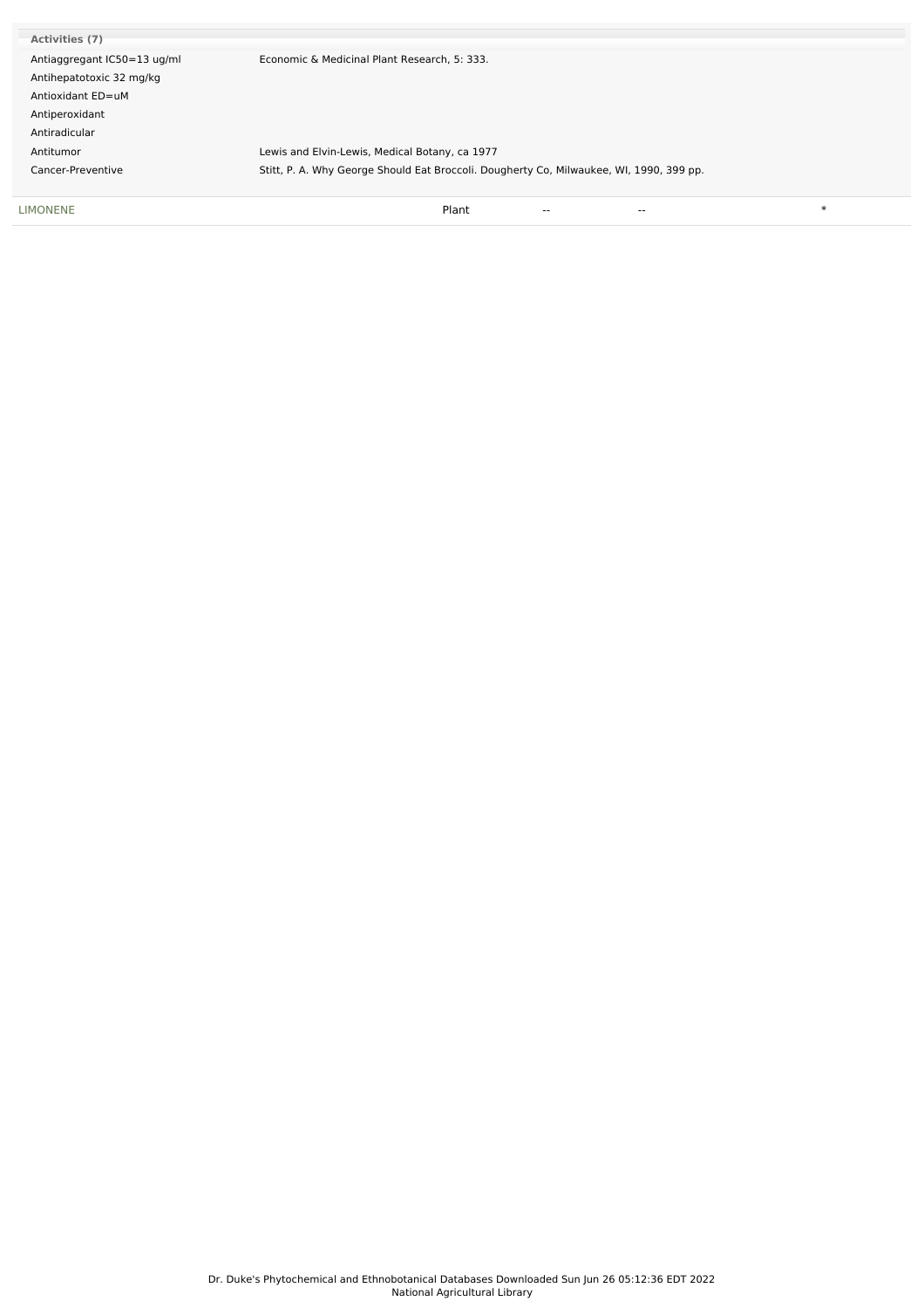| <b>LIMONENE</b>             | $\ast$<br>Plant<br>$- -$<br>$\overline{\phantom{a}}$                                    |
|-----------------------------|-----------------------------------------------------------------------------------------|
| Cancer-Preventive           | Stitt, P. A. Why George Should Eat Broccoli. Dougherty Co, Milwaukee, WI, 1990, 399 pp. |
| Antitumor                   | Lewis and Elvin-Lewis, Medical Botany, ca 1977                                          |
| Antiradicular               |                                                                                         |
| Antiperoxidant              |                                                                                         |
| Antioxidant ED=uM           |                                                                                         |
| Antihepatotoxic 32 mg/kg    |                                                                                         |
| Antiaggregant IC50=13 ug/ml | Economic & Medicinal Plant Research, 5: 333.                                            |
| Activities (7)              |                                                                                         |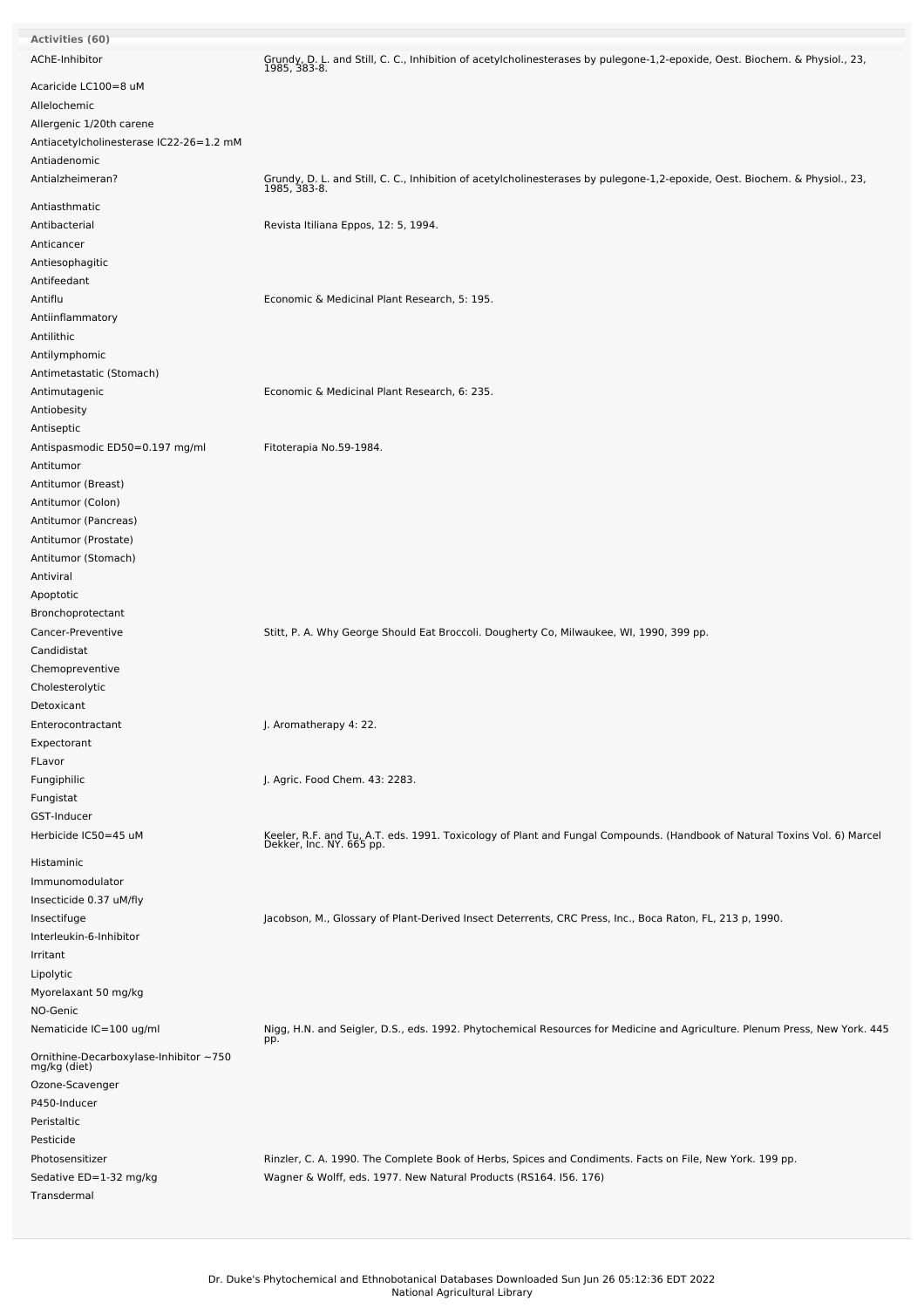| Activities (60)                                       |                                                                                                                                                       |
|-------------------------------------------------------|-------------------------------------------------------------------------------------------------------------------------------------------------------|
| AChE-Inhibitor                                        | Grundy, D. L. and Still, C. C., Inhibition of acetylcholinesterases by pulegone-1,2-epoxide, Oest. Biochem. & Physiol., 23,<br>1985, 383-8.           |
| Acaricide LC100=8 uM                                  |                                                                                                                                                       |
| Allelochemic                                          |                                                                                                                                                       |
| Allergenic 1/20th carene                              |                                                                                                                                                       |
| Antiacetylcholinesterase IC22-26=1.2 mM               |                                                                                                                                                       |
| Antiadenomic                                          |                                                                                                                                                       |
| Antialzheimeran?                                      | Grundy, D. L. and Still, C. C., Inhibition of acetylcholinesterases by pulegone-1,2-epoxide, Oest. Biochem. & Physiol., 23,<br>1985, 383-8.           |
| Antiasthmatic                                         |                                                                                                                                                       |
| Antibacterial                                         | Revista Itiliana Eppos, 12: 5, 1994.                                                                                                                  |
| Anticancer                                            |                                                                                                                                                       |
| Antiesophagitic                                       |                                                                                                                                                       |
| Antifeedant                                           |                                                                                                                                                       |
| Antiflu                                               | Economic & Medicinal Plant Research, 5: 195.                                                                                                          |
| Antiinflammatory                                      |                                                                                                                                                       |
| Antilithic                                            |                                                                                                                                                       |
| Antilymphomic                                         |                                                                                                                                                       |
| Antimetastatic (Stomach)                              |                                                                                                                                                       |
| Antimutagenic                                         | Economic & Medicinal Plant Research, 6: 235.                                                                                                          |
| Antiobesity                                           |                                                                                                                                                       |
| Antiseptic                                            |                                                                                                                                                       |
| Antispasmodic ED50=0.197 mg/ml                        | Fitoterapia No.59-1984.                                                                                                                               |
| Antitumor                                             |                                                                                                                                                       |
| Antitumor (Breast)                                    |                                                                                                                                                       |
| Antitumor (Colon)                                     |                                                                                                                                                       |
| Antitumor (Pancreas)                                  |                                                                                                                                                       |
| Antitumor (Prostate)                                  |                                                                                                                                                       |
| Antitumor (Stomach)                                   |                                                                                                                                                       |
| Antiviral                                             |                                                                                                                                                       |
| Apoptotic                                             |                                                                                                                                                       |
| Bronchoprotectant                                     |                                                                                                                                                       |
| Cancer-Preventive                                     | Stitt, P. A. Why George Should Eat Broccoli. Dougherty Co, Milwaukee, WI, 1990, 399 pp.                                                               |
| Candidistat                                           |                                                                                                                                                       |
| Chemopreventive                                       |                                                                                                                                                       |
| Cholesterolytic                                       |                                                                                                                                                       |
| Detoxicant                                            |                                                                                                                                                       |
| Enterocontractant                                     | J. Aromatherapy 4: 22.                                                                                                                                |
| Expectorant                                           |                                                                                                                                                       |
| FLavor                                                |                                                                                                                                                       |
| Fungiphilic                                           | J. Agric. Food Chem. 43: 2283.                                                                                                                        |
| Fungistat                                             |                                                                                                                                                       |
| GST-Inducer<br>Herbicide IC50=45 uM                   |                                                                                                                                                       |
|                                                       | Keeler, R.F. and Tu, A.T. eds. 1991. Toxicology of Plant and Fungal Compounds. (Handbook of Natural Toxins Vol. 6) Marcel<br>Dekker, Inc. NY. 665 pp. |
| Histaminic                                            |                                                                                                                                                       |
| Immunomodulator                                       |                                                                                                                                                       |
| Insecticide 0.37 uM/fly                               |                                                                                                                                                       |
| Insectifuge                                           | Jacobson, M., Glossary of Plant-Derived Insect Deterrents, CRC Press, Inc., Boca Raton, FL, 213 p, 1990.                                              |
| Interleukin-6-Inhibitor                               |                                                                                                                                                       |
| Irritant                                              |                                                                                                                                                       |
| Lipolytic<br>Myorelaxant 50 mg/kg                     |                                                                                                                                                       |
| NO-Genic                                              |                                                                                                                                                       |
| Nematicide IC=100 ug/ml                               | Nigg, H.N. and Seigler, D.S., eds. 1992. Phytochemical Resources for Medicine and Agriculture. Plenum Press, New York. 445                            |
| Ornithine-Decarboxylase-Inhibitor~750<br>mg/kg (diet) | pp.                                                                                                                                                   |
|                                                       |                                                                                                                                                       |
| Ozone-Scavenger                                       |                                                                                                                                                       |
| P450-Inducer<br>Peristaltic                           |                                                                                                                                                       |
| Pesticide                                             |                                                                                                                                                       |
| Photosensitizer                                       | Rinzler, C. A. 1990. The Complete Book of Herbs, Spices and Condiments. Facts on File, New York. 199 pp.                                              |
| Sedative ED=1-32 mg/kg                                | Wagner & Wolff, eds. 1977. New Natural Products (RS164. I56. 176)                                                                                     |
| Transdermal                                           |                                                                                                                                                       |
|                                                       |                                                                                                                                                       |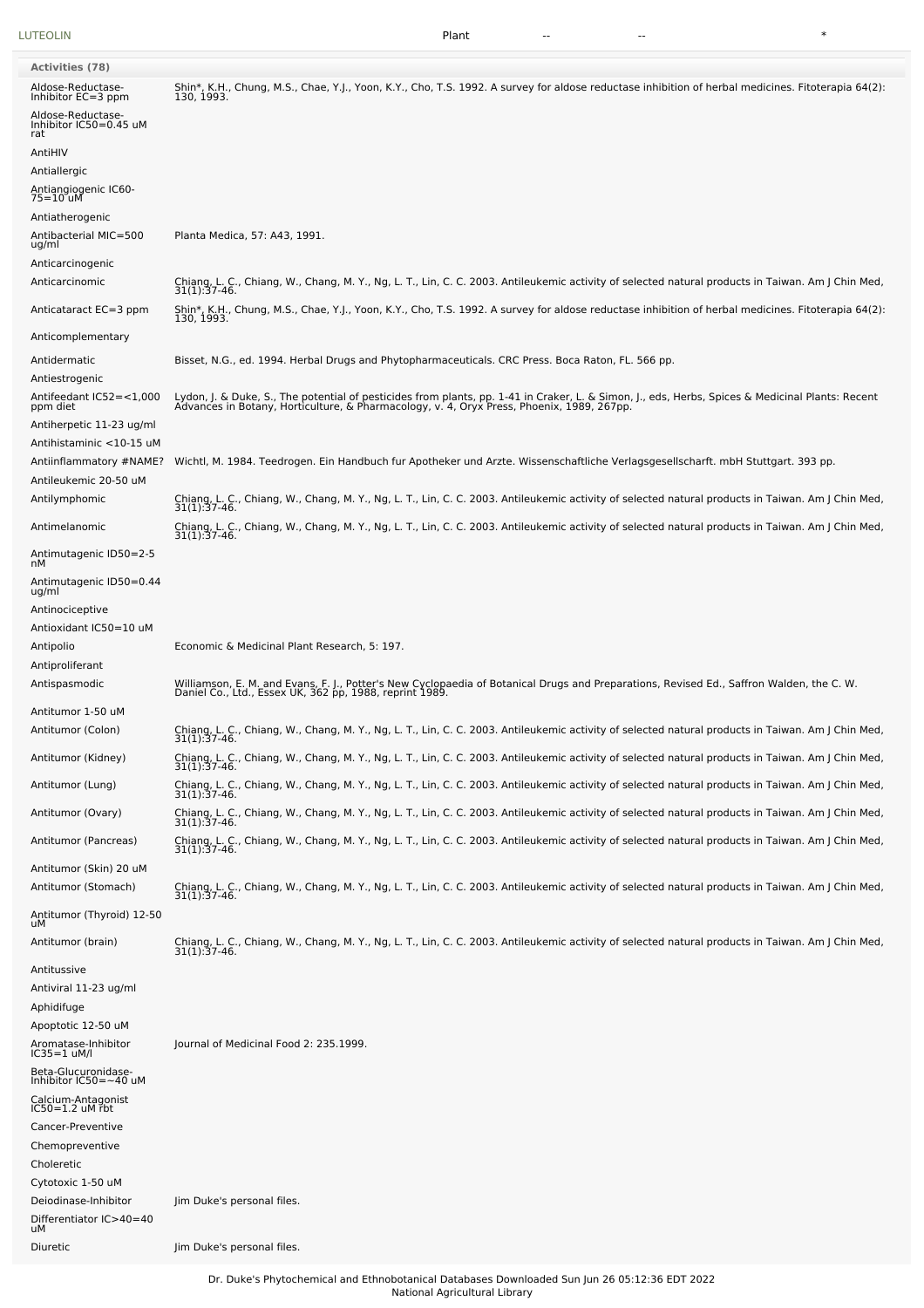[LUTEOLIN](file:///phytochem/chemicals/show/11706) Plant -- -- \*

| <b>Activities (78)</b>                                |                                                                                                                                                                                                                                  |
|-------------------------------------------------------|----------------------------------------------------------------------------------------------------------------------------------------------------------------------------------------------------------------------------------|
| Aldose-Reductase-<br>Inhibitor EC=3 ppm               | Shin*, K.H., Chung, M.S., Chae, Y.J., Yoon, K.Y., Cho, T.S. 1992. A survey for aldose reductase inhibition of herbal medicines. Fitoterapia 64(2):<br>130, 1993.                                                                 |
| Aldose-Reductase-<br>Inhibitor IC50=0.45 uM<br>rat    |                                                                                                                                                                                                                                  |
| AntiHIV                                               |                                                                                                                                                                                                                                  |
| Antiallergic<br>Antiangiogenic IC60-<br>75=10 uM      |                                                                                                                                                                                                                                  |
| Antiatherogenic                                       |                                                                                                                                                                                                                                  |
| Antibacterial MIC=500<br>ug/ml                        | Planta Medica, 57: A43, 1991.                                                                                                                                                                                                    |
| Anticarcinogenic<br>Anticarcinomic                    | Chiang, L. C., Chiang, W., Chang, M. Y., Ng, L. T., Lin, C. C. 2003. Antileukemic activity of selected natural products in Taiwan. Am J Chin Med,<br>31(1):37-46.                                                                |
| Anticataract EC=3 ppm                                 | Shin*, K.H., Chung, M.S., Chae, Y.J., Yoon, K.Y., Cho, T.S. 1992. A survey for aldose reductase inhibition of herbal medicines. Fitoterapia 64(2):                                                                               |
| Anticomplementary                                     | 130, 1993.                                                                                                                                                                                                                       |
| Antidermatic                                          | Bisset, N.G., ed. 1994. Herbal Drugs and Phytopharmaceuticals. CRC Press. Boca Raton, FL. 566 pp.                                                                                                                                |
| Antiestrogenic<br>Antifeedant IC52=<1,000<br>ppm diet | Lydon, J. & Duke, S., The potential of pesticides from plants, pp. 1-41 in Craker, L. & Simon, J., eds, Herbs, Spices & Medicinal Plants: Recent<br>Advances in Botany, Horticulture, & Pharmacology, v. 4, Oryx Press, Phoenix, |
| Antiherpetic 11-23 ug/ml<br>Antihistaminic <10-15 uM  |                                                                                                                                                                                                                                  |
| Antiinflammatory #NAME?<br>Antileukemic 20-50 uM      | Wichtl, M. 1984. Teedrogen. Ein Handbuch fur Apotheker und Arzte. Wissenschaftliche Verlagsgesellscharft. mbH Stuttgart. 393 pp.                                                                                                 |
| Antilymphomic                                         | Chiang, L. C., Chiang, W., Chang, M. Y., Ng, L. T., Lin, C. C. 2003. Antileukemic activity of selected natural products in Taiwan. Am J Chin Med,<br>31(1):37-46.                                                                |
| Antimelanomic                                         | Chiang, L. C., Chiang, W., Chang, M. Y., Ng, L. T., Lin, C. C. 2003. Antileukemic activity of selected natural products in Taiwan. Am J Chin Med,<br>31(1):37-46.                                                                |
| Antimutagenic ID50=2-5<br>nМ                          |                                                                                                                                                                                                                                  |
| Antimutagenic ID50=0.44<br>ug/ml                      |                                                                                                                                                                                                                                  |
| Antinociceptive<br>Antioxidant IC50=10 uM             |                                                                                                                                                                                                                                  |
| Antipolio                                             | Economic & Medicinal Plant Research, 5: 197.                                                                                                                                                                                     |
| Antiproliferant<br>Antispasmodic                      | Williamson, E. M. and Evans, F. J., Potter's New Cyclopaedia of Botanical Drugs and Preparations, Revised Ed., Saffron Walden, the C. W.<br>Daniel Co., Ltd., Essex UK, 362 pp, 1988, reprint 1989.                              |
| Antitumor 1-50 uM<br>Antitumor (Colon)                | Chiang, L. C., Chiang, W., Chang, M. Y., Ng, L. T., Lin, C. C. 2003. Antileukemic activity of selected natural products in Taiwan. Am J Chin Med,<br>31(1):37-46.                                                                |
| Antitumor (Kidney)                                    | Chiang, L. C., Chiang, W., Chang, M. Y., Ng, L. T., Lin, C. C. 2003. Antileukemic activity of selected natural products in Taiwan. Am J Chin Med,                                                                                |
| Antitumor (Lung)                                      | 31(1):37-46.<br>Chiang, L. C., Chiang, W., Chang, M. Y., Ng, L. T., Lin, C. C. 2003. Antileukemic activity of selected natural products in Taiwan. Am J Chin Med,<br>31(1):37-46.                                                |
| Antitumor (Ovary)                                     | Chiang, L. C., Chiang, W., Chang, M. Y., Ng, L. T., Lin, C. C. 2003. Antileukemic activity of selected natural products in Taiwan. Am J Chin Med,                                                                                |
| Antitumor (Pancreas)                                  | $31(1):37-46.$<br>Chiang, L. C., Chiang, W., Chang, M. Y., Ng, L. T., Lin, C. C. 2003. Antileukemic activity of selected natural products in Taiwan. Am J Chin Med,<br>31(1):37-46.                                              |
| Antitumor (Skin) 20 uM<br>Antitumor (Stomach)         | Chiang, L. C., Chiang, W., Chang, M. Y., Ng, L. T., Lin, C. C. 2003. Antileukemic activity of selected natural products in Taiwan. Am J Chin Med,<br>$31(1):37-46.$                                                              |
| Antitumor (Thyroid) 12-50<br>uМ                       |                                                                                                                                                                                                                                  |
| Antitumor (brain)                                     | Chiang, L. C., Chiang, W., Chang, M. Y., Ng, L. T., Lin, C. C. 2003. Antileukemic activity of selected natural products in Taiwan. Am J Chin Med,<br>31(1): 37-46.                                                               |
| Antitussive<br>Antiviral 11-23 ug/ml                  |                                                                                                                                                                                                                                  |
| Aphidifuge                                            |                                                                                                                                                                                                                                  |
| Apoptotic 12-50 uM                                    |                                                                                                                                                                                                                                  |
| Aromatase-Inhibitor<br>IC35=1 uM/l                    | Journal of Medicinal Food 2: 235.1999.                                                                                                                                                                                           |
| Beta-Glucuronidase-<br>Inhibitor IC50=~40 uM          |                                                                                                                                                                                                                                  |
| Calcium-Antagonist<br>IC50=1.2 uM rbt                 |                                                                                                                                                                                                                                  |
| Cancer-Preventive                                     |                                                                                                                                                                                                                                  |
| Chemopreventive<br>Choleretic                         |                                                                                                                                                                                                                                  |
| Cytotoxic 1-50 uM                                     |                                                                                                                                                                                                                                  |
| Deiodinase-Inhibitor                                  | Jim Duke's personal files.                                                                                                                                                                                                       |
| Differentiator IC>40=40<br>uМ                         |                                                                                                                                                                                                                                  |

Diuretic Jim Duke's personal files.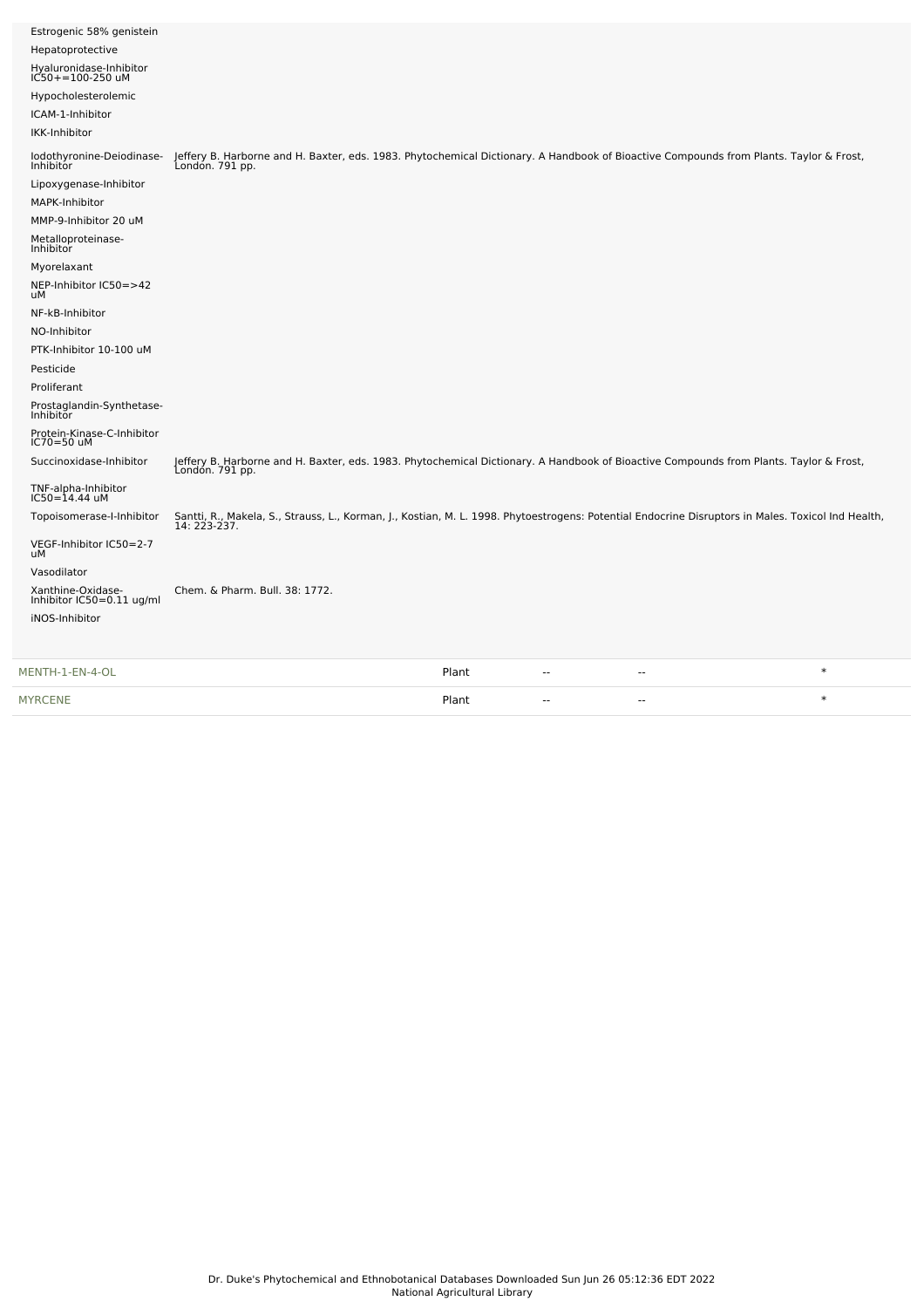| iNOS-Inhibitor                                 |                                                                                                                                                                    |
|------------------------------------------------|--------------------------------------------------------------------------------------------------------------------------------------------------------------------|
| Xanthine-Oxidase-<br>Inhibitor IC50=0.11 ug/ml | Chem. & Pharm. Bull. 38: 1772.                                                                                                                                     |
| Vasodilator                                    |                                                                                                                                                                    |
| VEGF-Inhibitor IC50=2-7<br>uМ                  |                                                                                                                                                                    |
| Topoisomerase-I-Inhibitor                      | Santti, R., Makela, S., Strauss, L., Korman, J., Kostian, M. L. 1998. Phytoestrogens: Potential Endocrine Disruptors in Males. Toxicol Ind Health,<br>14: 223-237. |
| TNF-alpha-Inhibitor<br>IC50=14.44 uM           |                                                                                                                                                                    |
| Succinoxidase-Inhibitor                        | Jeffery B. Harborne and H. Baxter, eds. 1983. Phytochemical Dictionary. A Handbook of Bioactive Compounds from Plants. Taylor & Frost,<br>London. 791 pp.          |
| Protein-Kinase-C-Inhibitor<br>IC70=50 uM       |                                                                                                                                                                    |
| Prostaglandin-Synthetase-<br><b>Inhibitor</b>  |                                                                                                                                                                    |
| Proliferant                                    |                                                                                                                                                                    |
| Pesticide                                      |                                                                                                                                                                    |
| PTK-Inhibitor 10-100 uM                        |                                                                                                                                                                    |
| NO-Inhibitor                                   |                                                                                                                                                                    |
| NF-kB-Inhibitor                                |                                                                                                                                                                    |
| NEP-Inhibitor IC50=>42<br>uМ                   |                                                                                                                                                                    |
| Myorelaxant                                    |                                                                                                                                                                    |
| Metalloproteinase-<br>Inhibitor                |                                                                                                                                                                    |
| MMP-9-Inhibitor 20 uM                          |                                                                                                                                                                    |
| MAPK-Inhibitor                                 |                                                                                                                                                                    |
| Lipoxygenase-Inhibitor                         |                                                                                                                                                                    |
| lodothyronine-Deiodinase-<br>Inhibitor         | Jeffery B. Harborne and H. Baxter, eds. 1983. Phytochemical Dictionary. A Handbook of Bioactive Compounds from Plants. Taylor & Frost,<br>London. 791 pp.          |
| IKK-Inhibitor                                  |                                                                                                                                                                    |
| ICAM-1-Inhibitor                               |                                                                                                                                                                    |
| Hypocholesterolemic                            |                                                                                                                                                                    |
| Hyaluronidase-Inhibitor<br>IC50+=100-250 uM    |                                                                                                                                                                    |
| Hepatoprotective                               |                                                                                                                                                                    |
| Estrogenic 58% genistein                       |                                                                                                                                                                    |
|                                                |                                                                                                                                                                    |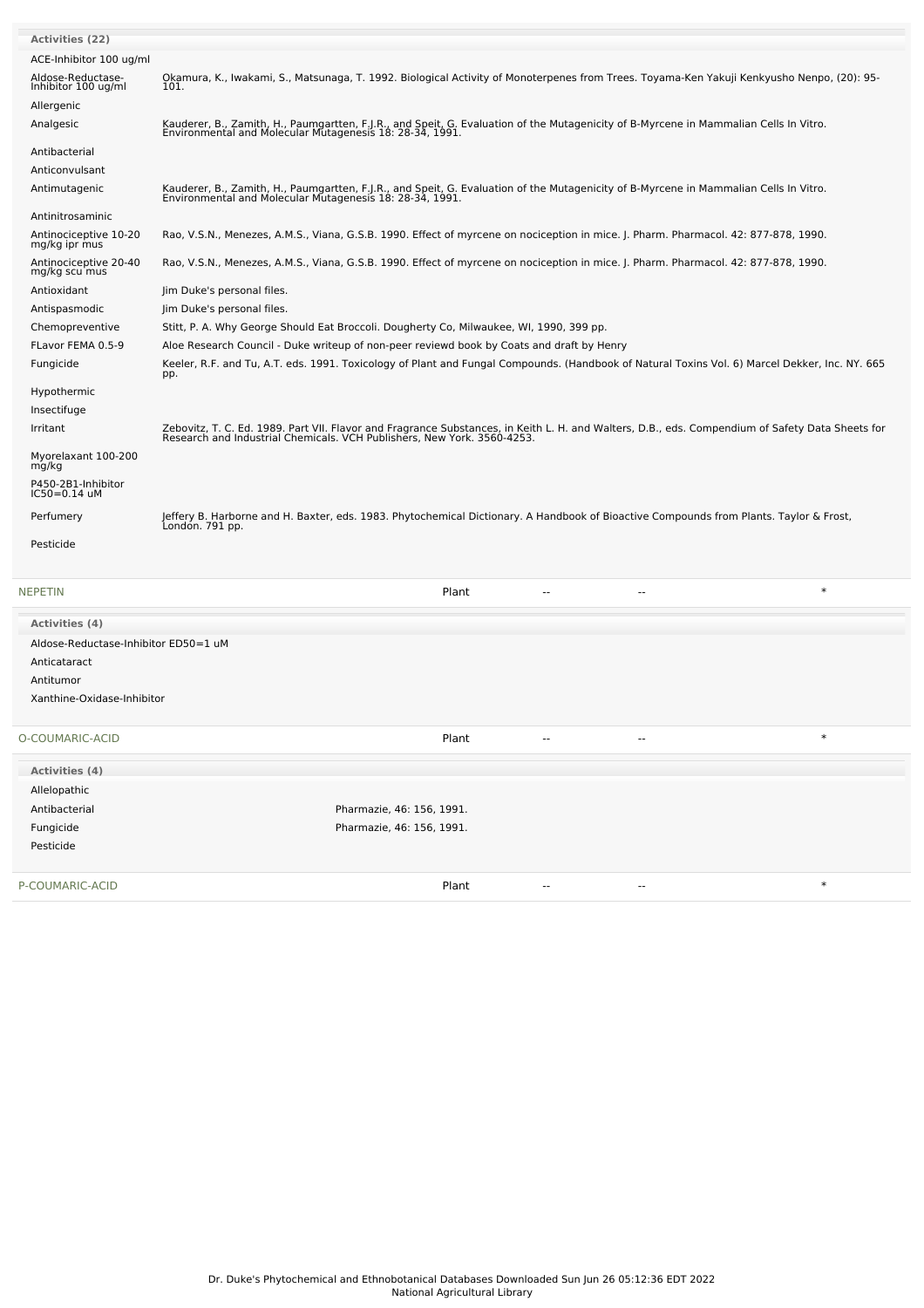| <b>Activities (22)</b>                   |                                                                                                                                                                                                                             |
|------------------------------------------|-----------------------------------------------------------------------------------------------------------------------------------------------------------------------------------------------------------------------------|
| ACE-Inhibitor 100 ug/ml                  |                                                                                                                                                                                                                             |
| Aldose-Reductase-<br>Inhibitor 100 ug/ml | Okamura, K., Iwakami, S., Matsunaga, T. 1992. Biological Activity of Monoterpenes from Trees. Toyama-Ken Yakuji Kenkyusho Nenpo, (20): 95-<br>101.                                                                          |
| Allergenic                               |                                                                                                                                                                                                                             |
| Analgesic                                | Kauderer, B., Zamith, H., Paumgartten, F.J.R., and Speit, G. Evaluation of the Mutagenicity of B-Myrcene in Mammalian Cells In Vitro.<br>Environmental and Molecular Mutagenesis 18: 28-34, 1991.                           |
| Antibacterial                            |                                                                                                                                                                                                                             |
| Anticonvulsant                           |                                                                                                                                                                                                                             |
| Antimutagenic                            | Kauderer, B., Zamith, H., Paumgartten, F.J.R., and Speit, G. Evaluation of the Mutagenicity of B-Myrcene in Mammalian Cells In Vitro.<br>Environmental and Molecular Mutagenesis 18: 28-34, 1991.                           |
| Antinitrosaminic                         |                                                                                                                                                                                                                             |
| Antinociceptive 10-20<br>mg/kg ipr mus   | Rao, V.S.N., Menezes, A.M.S., Viana, G.S.B. 1990. Effect of myrcene on nociception in mice. J. Pharm. Pharmacol. 42: 877-878, 1990.                                                                                         |
| Antinociceptive 20-40<br>mg/kg scu mus   | Rao, V.S.N., Menezes, A.M.S., Viana, G.S.B. 1990. Effect of myrcene on nociception in mice. J. Pharm. Pharmacol. 42: 877-878, 1990.                                                                                         |
| Antioxidant                              | Jim Duke's personal files.                                                                                                                                                                                                  |
| Antispasmodic                            | Jim Duke's personal files.                                                                                                                                                                                                  |
| Chemopreventive                          | Stitt, P. A. Why George Should Eat Broccoli. Dougherty Co, Milwaukee, WI, 1990, 399 pp.                                                                                                                                     |
| FLavor FEMA 0.5-9                        | Aloe Research Council - Duke writeup of non-peer reviewd book by Coats and draft by Henry                                                                                                                                   |
| Fungicide                                | Keeler, R.F. and Tu, A.T. eds. 1991. Toxicology of Plant and Fungal Compounds. (Handbook of Natural Toxins Vol. 6) Marcel Dekker, Inc. NY. 665<br>pp.                                                                       |
| Hypothermic                              |                                                                                                                                                                                                                             |
| Insectifuge                              |                                                                                                                                                                                                                             |
| Irritant                                 | Zebovitz, T. C. Ed. 1989. Part VII. Flavor and Fragrance Substances, in Keith L. H. and Walters, D.B., eds. Compendium of Safety Data Sheets for<br>Research and Industrial Chemicals. VCH Publishers, New York. 3560-4253. |
| Myorelaxant 100-200<br>mg/kg             |                                                                                                                                                                                                                             |
| P450-2B1-Inhibitor<br>IC50=0.14 uM       |                                                                                                                                                                                                                             |
| Perfumery                                | Jeffery B. Harborne and H. Baxter, eds. 1983. Phytochemical Dictionary. A Handbook of Bioactive Compounds from Plants. Taylor & Frost,<br>Londón. 791 pp.                                                                   |
| Pesticide                                |                                                                                                                                                                                                                             |
|                                          |                                                                                                                                                                                                                             |
| NEPETIN                                  | $\ast$<br>Plant<br>$\overline{\phantom{a}}$<br>$\overline{\phantom{a}}$                                                                                                                                                     |
| <b>Activities (4)</b>                    |                                                                                                                                                                                                                             |
| Aldose-Reductase-Inhibitor ED50=1 uM     |                                                                                                                                                                                                                             |
| Anticataract                             |                                                                                                                                                                                                                             |
| Antitumor                                |                                                                                                                                                                                                                             |
| Xanthine-Oxidase-Inhibitor               |                                                                                                                                                                                                                             |
| O-COUMARIC-ACID                          | $\ast$<br>Plant<br>٠.                                                                                                                                                                                                       |
|                                          |                                                                                                                                                                                                                             |
| Activities (4)                           |                                                                                                                                                                                                                             |
| Allelopathic                             |                                                                                                                                                                                                                             |
| Antibacterial                            | Pharmazie, 46: 156, 1991.                                                                                                                                                                                                   |
| Fungicide                                | Pharmazie, 46: 156, 1991.                                                                                                                                                                                                   |

[P-COUMARIC-ACID](file:///phytochem/chemicals/show/14079) Plant -- -- \*

Pesticide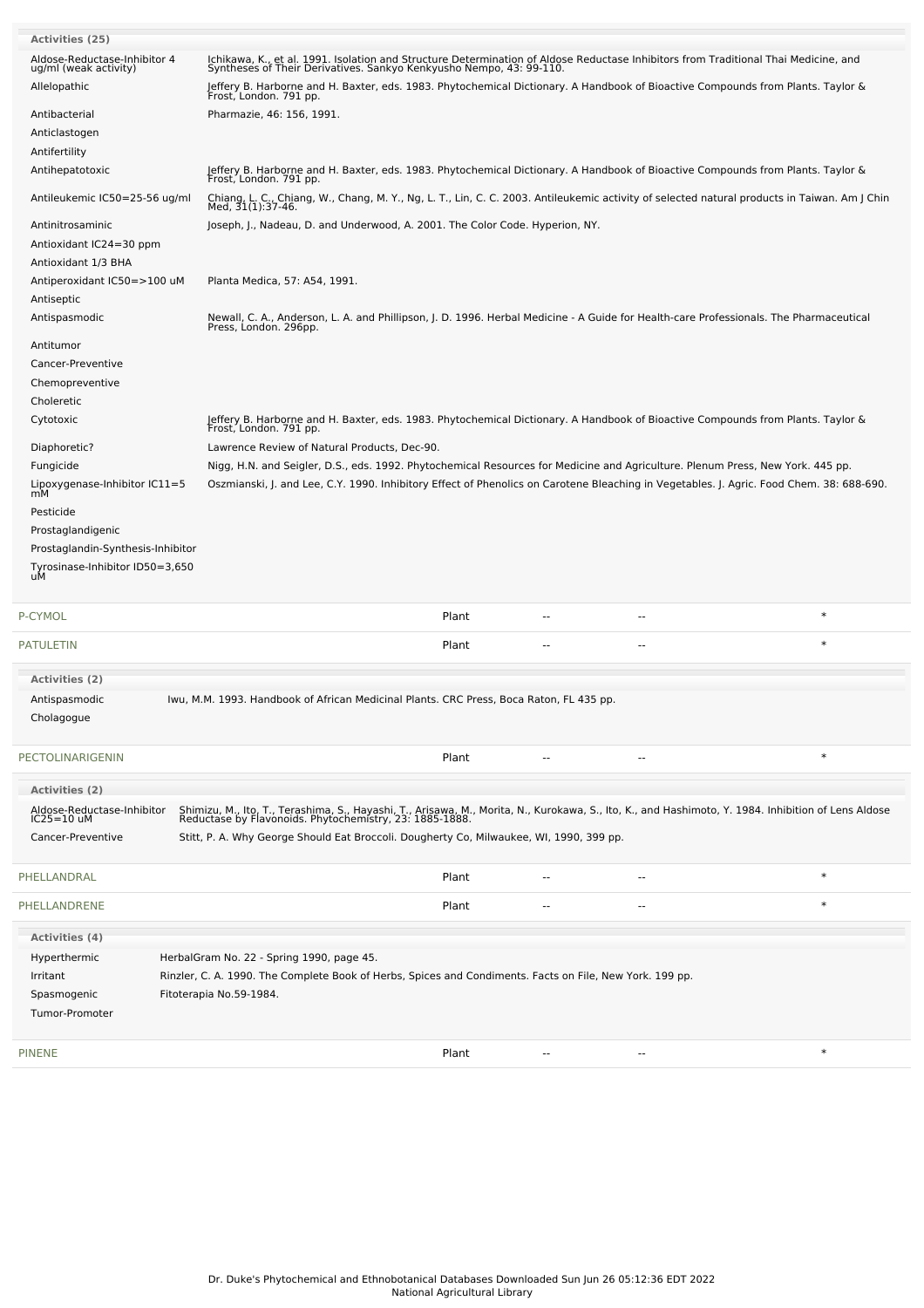| Activities (25)                                       |                                                                                                                                                                                                                |       |                |                |        |
|-------------------------------------------------------|----------------------------------------------------------------------------------------------------------------------------------------------------------------------------------------------------------------|-------|----------------|----------------|--------|
| Aldose-Reductase-Inhibitor 4<br>ug/ml (weak activity) | Ichikawa, K., et al. 1991. Isolation and Structure Determination of Aldose Reductase Inhibitors from Traditional Thai Medicine, and<br>Syntheses of Their Derivatives. Sankyo Kenkyusho Nempo, 43: 99-110.     |       |                |                |        |
| Allelopathic                                          | Jeffery B. Harborne and H. Baxter, eds. 1983. Phytochemical Dictionary. A Handbook of Bioactive Compounds from Plants. Taylor &<br>Frost, London. 791 pp.                                                      |       |                |                |        |
| Antibacterial                                         | Pharmazie, 46: 156, 1991.                                                                                                                                                                                      |       |                |                |        |
| Anticlastogen                                         |                                                                                                                                                                                                                |       |                |                |        |
| Antifertility                                         |                                                                                                                                                                                                                |       |                |                |        |
| Antihepatotoxic                                       | Jeffery B. Harborne and H. Baxter, eds. 1983. Phytochemical Dictionary. A Handbook of Bioactive Compounds from Plants. Taylor &<br>Frost, London. 791 pp.                                                      |       |                |                |        |
| Antileukemic IC50=25-56 ug/ml                         | Chiang, L. C., Chiang, W., Chang, M. Y., Ng, L. T., Lin, C. C. 2003. Antileukemic activity of selected natural products in Taiwan. Am J Chin<br>Med, 31(1):37-46.                                              |       |                |                |        |
| Antinitrosaminic                                      | Joseph, J., Nadeau, D. and Underwood, A. 2001. The Color Code. Hyperion, NY.                                                                                                                                   |       |                |                |        |
| Antioxidant IC24=30 ppm<br>Antioxidant 1/3 BHA        |                                                                                                                                                                                                                |       |                |                |        |
| Antiperoxidant IC50=>100 uM                           | Planta Medica, 57: A54, 1991.                                                                                                                                                                                  |       |                |                |        |
| Antiseptic                                            |                                                                                                                                                                                                                |       |                |                |        |
| Antispasmodic                                         | Newall, C. A., Anderson, L. A. and Phillipson, J. D. 1996. Herbal Medicine - A Guide for Health-care Professionals. The Pharmaceutical                                                                         |       |                |                |        |
|                                                       | Press, London. 296pp.                                                                                                                                                                                          |       |                |                |        |
| Antitumor                                             |                                                                                                                                                                                                                |       |                |                |        |
| Cancer-Preventive                                     |                                                                                                                                                                                                                |       |                |                |        |
| Chemopreventive<br>Choleretic                         |                                                                                                                                                                                                                |       |                |                |        |
| Cytotoxic                                             | Jeffery B. Harborne and H. Baxter, eds. 1983. Phytochemical Dictionary. A Handbook of Bioactive Compounds from Plants. Taylor &                                                                                |       |                |                |        |
|                                                       | Frost, London. 791 pp.                                                                                                                                                                                         |       |                |                |        |
| Diaphoretic?                                          | Lawrence Review of Natural Products, Dec-90.                                                                                                                                                                   |       |                |                |        |
| Fungicide                                             | Nigg, H.N. and Seigler, D.S., eds. 1992. Phytochemical Resources for Medicine and Agriculture. Plenum Press, New York. 445 pp.                                                                                 |       |                |                |        |
| Lipoxygenase-Inhibitor IC11=5<br>mМ                   | Oszmianski, J. and Lee, C.Y. 1990. Inhibitory Effect of Phenolics on Carotene Bleaching in Vegetables. J. Agric. Food Chem. 38: 688-690.                                                                       |       |                |                |        |
| Pesticide                                             |                                                                                                                                                                                                                |       |                |                |        |
| Prostaglandigenic                                     |                                                                                                                                                                                                                |       |                |                |        |
| Prostaglandin-Synthesis-Inhibitor                     |                                                                                                                                                                                                                |       |                |                |        |
| Tyrosinase-Inhibitor ID50=3,650<br>uМ                 |                                                                                                                                                                                                                |       |                |                |        |
|                                                       |                                                                                                                                                                                                                |       |                |                |        |
| P-CYMOL                                               |                                                                                                                                                                                                                | Plant | $\sim$         |                | $\ast$ |
| <b>PATULETIN</b>                                      |                                                                                                                                                                                                                | Plant |                |                | $\ast$ |
| <b>Activities (2)</b>                                 |                                                                                                                                                                                                                |       |                |                |        |
| Antispasmodic                                         | Iwu, M.M. 1993. Handbook of African Medicinal Plants. CRC Press, Boca Raton, FL 435 pp.                                                                                                                        |       |                |                |        |
| Cholagogue                                            |                                                                                                                                                                                                                |       |                |                |        |
|                                                       |                                                                                                                                                                                                                |       |                |                |        |
| PECTOLINARIGENIN                                      |                                                                                                                                                                                                                | Plant |                | $\overline{a}$ | $\ast$ |
| Activities (2)                                        |                                                                                                                                                                                                                |       |                |                |        |
| Aldose-Reductase-Inhibitor<br>IC25=10 uM              | Shimizu, M., Ito, T., Terashima, S., Hayashi, T., Arisawa, M., Morita, N., Kurokawa, S., Ito, K., and Hashimoto, Y. 1984. Inhibition of Lens Aldose<br>Reductase by Flavonoids. Phytochemistry, 23: 1885-1888. |       |                |                |        |
| Cancer-Preventive                                     | Stitt, P. A. Why George Should Eat Broccoli. Dougherty Co, Milwaukee, WI, 1990, 399 pp.                                                                                                                        |       |                |                |        |
|                                                       |                                                                                                                                                                                                                |       |                |                |        |
| PHELLANDRAL                                           |                                                                                                                                                                                                                | Plant | $\sim$ $\sim$  | $\sim$         | $\ast$ |
| PHELLANDRENE                                          |                                                                                                                                                                                                                | Plant |                | --             | $\ast$ |
| Activities (4)                                        |                                                                                                                                                                                                                |       |                |                |        |
| Hyperthermic                                          | HerbalGram No. 22 - Spring 1990, page 45.                                                                                                                                                                      |       |                |                |        |
| Irritant                                              | Rinzler, C. A. 1990. The Complete Book of Herbs, Spices and Condiments. Facts on File, New York. 199 pp.                                                                                                       |       |                |                |        |
| Spasmogenic                                           | Fitoterapia No.59-1984.                                                                                                                                                                                        |       |                |                |        |
| Tumor-Promoter                                        |                                                                                                                                                                                                                |       |                |                |        |
|                                                       |                                                                                                                                                                                                                |       |                |                |        |
| <b>PINENE</b>                                         |                                                                                                                                                                                                                | Plant | $\overline{a}$ | --             | $\ast$ |
|                                                       |                                                                                                                                                                                                                |       |                |                |        |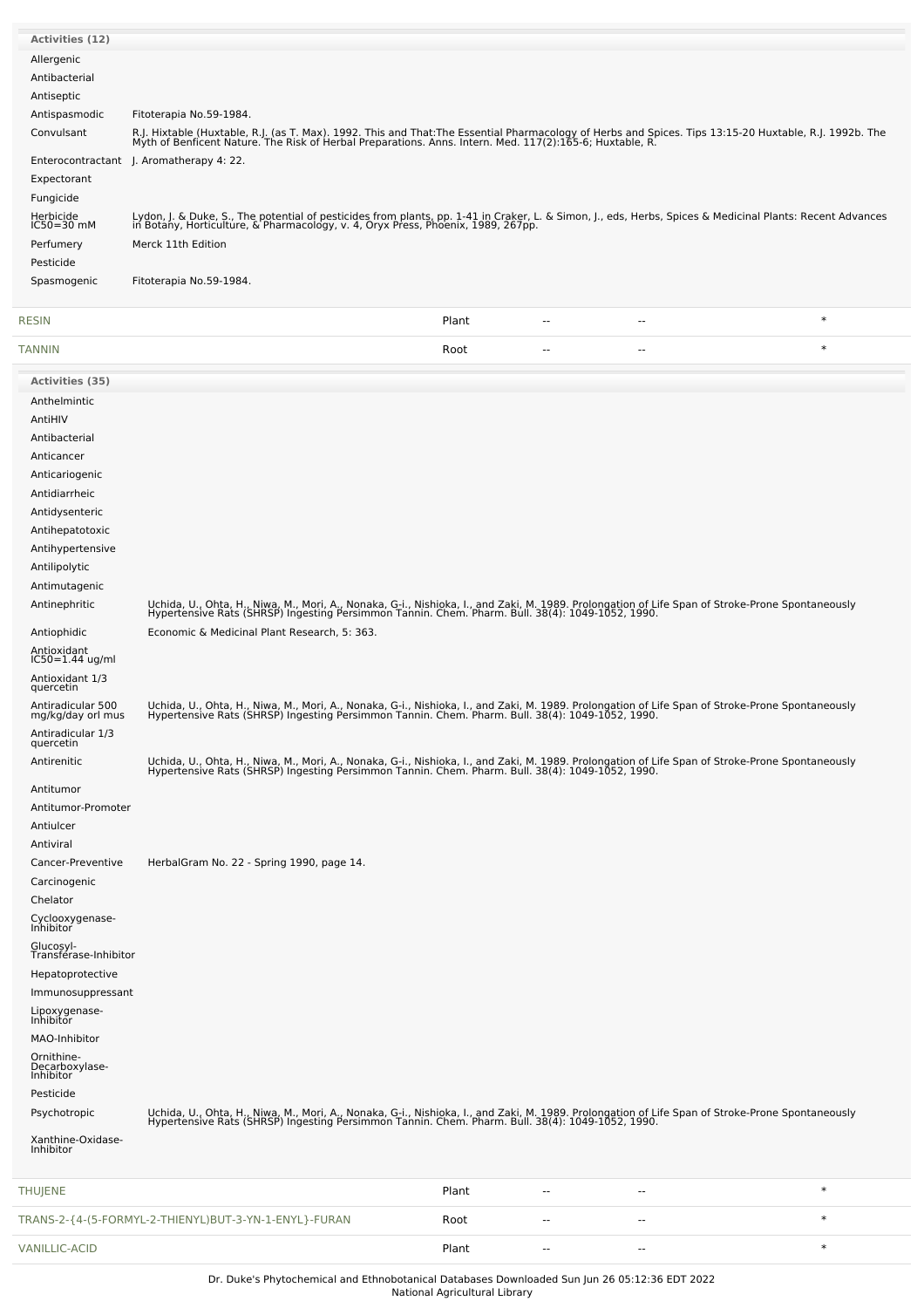| <b>Activities (12)</b>                    |                                                                                                                                                                                                                                   |
|-------------------------------------------|-----------------------------------------------------------------------------------------------------------------------------------------------------------------------------------------------------------------------------------|
| Allergenic                                |                                                                                                                                                                                                                                   |
| Antibacterial                             |                                                                                                                                                                                                                                   |
|                                           |                                                                                                                                                                                                                                   |
| Antiseptic                                |                                                                                                                                                                                                                                   |
| Antispasmodic                             | Fitoterapia No.59-1984.                                                                                                                                                                                                           |
| Convulsant                                | R.J. Hixtable (Huxtable, R.J. (as T. Max). 1992. This and That:The Essential Pharmacology of Herbs and Spices. Tips 13:15-20 Huxtable, R.J. 1992b. The<br>Myth of Benficent Nature. The Risk of Herbal Preparations. Anns. Intern |
|                                           | Enterocontractant J. Aromatherapy 4: 22.                                                                                                                                                                                          |
|                                           |                                                                                                                                                                                                                                   |
| Expectorant                               |                                                                                                                                                                                                                                   |
| Fungicide                                 |                                                                                                                                                                                                                                   |
| Herbicide<br>IC50=30 mM                   | Lydon, J. & Duke, S., The potential of pesticides from plants, pp. 1-41 in Craker, L. & Simon, J., eds, Herbs, Spices & Medicinal Plants: Recent Advances<br>in Botany, Horticulture, & Pharmacology, v. 4, Oryx Press, Phoenix,  |
|                                           |                                                                                                                                                                                                                                   |
| Perfumery                                 | Merck 11th Edition                                                                                                                                                                                                                |
| Pesticide                                 |                                                                                                                                                                                                                                   |
| Spasmogenic                               | Fitoterapia No.59-1984.                                                                                                                                                                                                           |
|                                           |                                                                                                                                                                                                                                   |
| RESIN                                     | $\ast$<br>Plant<br>$\overline{\phantom{a}}$<br>--                                                                                                                                                                                 |
| <b>TANNIN</b>                             | $\ast$<br>Root<br>--<br>$\overline{\phantom{a}}$                                                                                                                                                                                  |
| Activities (35)                           |                                                                                                                                                                                                                                   |
| Anthelmintic                              |                                                                                                                                                                                                                                   |
| AntiHIV                                   |                                                                                                                                                                                                                                   |
|                                           |                                                                                                                                                                                                                                   |
| Antibacterial                             |                                                                                                                                                                                                                                   |
| Anticancer                                |                                                                                                                                                                                                                                   |
| Anticariogenic                            |                                                                                                                                                                                                                                   |
| Antidiarrheic                             |                                                                                                                                                                                                                                   |
| Antidysenteric                            |                                                                                                                                                                                                                                   |
|                                           |                                                                                                                                                                                                                                   |
| Antihepatotoxic                           |                                                                                                                                                                                                                                   |
| Antihypertensive                          |                                                                                                                                                                                                                                   |
| Antilipolytic                             |                                                                                                                                                                                                                                   |
| Antimutagenic                             |                                                                                                                                                                                                                                   |
| Antinephritic                             | Uchida, U., Ohta, H., Niwa, M., Mori, A., Nonaka, G-i., Nishioka, I., and Zaki, M. 1989. Prolongation of Life Span of Stroke-Prone Spontaneously                                                                                  |
|                                           | Hypertensive Rats (SHRSP) Ingesting Persimmon Tannin. Chem. Pharm. Bull. 38(4): 1049-1052, 1990.                                                                                                                                  |
| Antiophidic                               | Economic & Medicinal Plant Research, 5: 363.                                                                                                                                                                                      |
| Antioxidant                               |                                                                                                                                                                                                                                   |
| $IC50 = 1.44$ ug/ml                       |                                                                                                                                                                                                                                   |
| Antioxidant 1/3<br>quercetin              |                                                                                                                                                                                                                                   |
| Antiradicular 500                         |                                                                                                                                                                                                                                   |
| mg/kg/day orl mus                         | Uchida, U., Ohta, H., Niwa, M., Mori, A., Nonaka, G-i., Nishioka, I., and Zaki, M. 1989. Prolongation of Life Span of Stroke-Prone Spontaneously<br>Hypertensive Rats (SHRSP) Ingesting Persimmon Tannin. Chem. Pharm. Bull. 38(4 |
| Antiradicular 1/3                         |                                                                                                                                                                                                                                   |
| quercetin                                 |                                                                                                                                                                                                                                   |
| Antirenitic                               | Uchida, U., Ohta, H., Niwa, M., Mori, A., Nonaka, G-i., Nishioka, I., and Zaki, M. 1989. Prolongation of Life Span of Stroke-Prone Spontaneously<br>Hypertensive Rats (SHRSP) Ingesting Persimmon Tannin. Chem. Pharm. Bull. 38(4 |
| Antitumor                                 |                                                                                                                                                                                                                                   |
|                                           |                                                                                                                                                                                                                                   |
| Antitumor-Promoter                        |                                                                                                                                                                                                                                   |
| Antiulcer                                 |                                                                                                                                                                                                                                   |
| Antiviral                                 |                                                                                                                                                                                                                                   |
| Cancer-Preventive                         | HerbalGram No. 22 - Spring 1990, page 14.                                                                                                                                                                                         |
| Carcinogenic                              |                                                                                                                                                                                                                                   |
|                                           |                                                                                                                                                                                                                                   |
| Chelator                                  |                                                                                                                                                                                                                                   |
| Cyclooxygenase-<br>Inhibitor              |                                                                                                                                                                                                                                   |
| Glucosyl-<br>Transférase-Inhibitor        |                                                                                                                                                                                                                                   |
| Hepatoprotective                          |                                                                                                                                                                                                                                   |
| Immunosuppressant                         |                                                                                                                                                                                                                                   |
| Lipoxygenase-<br>Inhibitor                |                                                                                                                                                                                                                                   |
|                                           |                                                                                                                                                                                                                                   |
| MAO-Inhibitor                             |                                                                                                                                                                                                                                   |
| Ornithine-<br>Decarboxylase-<br>Inhibitor |                                                                                                                                                                                                                                   |
|                                           |                                                                                                                                                                                                                                   |
| Pesticide                                 |                                                                                                                                                                                                                                   |
| Psychotropic                              | Uchida, U., Ohta, H., Niwa, M., Mori, A., Nonaka, G-i., Nishioka, I., and Zaki, M. 1989. Prolongation of Life Span of Stroke-Prone Spontaneously<br>Hypertensive Rats (SHRSP) Ingesting Persimmon Tannin. Chem. Pharm. Bull. 38(4 |
| Xanthine-Oxidase-                         |                                                                                                                                                                                                                                   |
| Inhibitor                                 |                                                                                                                                                                                                                                   |
|                                           |                                                                                                                                                                                                                                   |

| THUJENE                                               | Plant | $- -$      | $- -$                    |  |
|-------------------------------------------------------|-------|------------|--------------------------|--|
| TRANS-2-{4-(5-FORMYL-2-THIENYL)BUT-3-YN-1-ENYL}-FURAN | Root  | $\sim$ $-$ | $- -$                    |  |
| VANILLIC-ACID                                         | Plant | $- -$      | $\overline{\phantom{a}}$ |  |